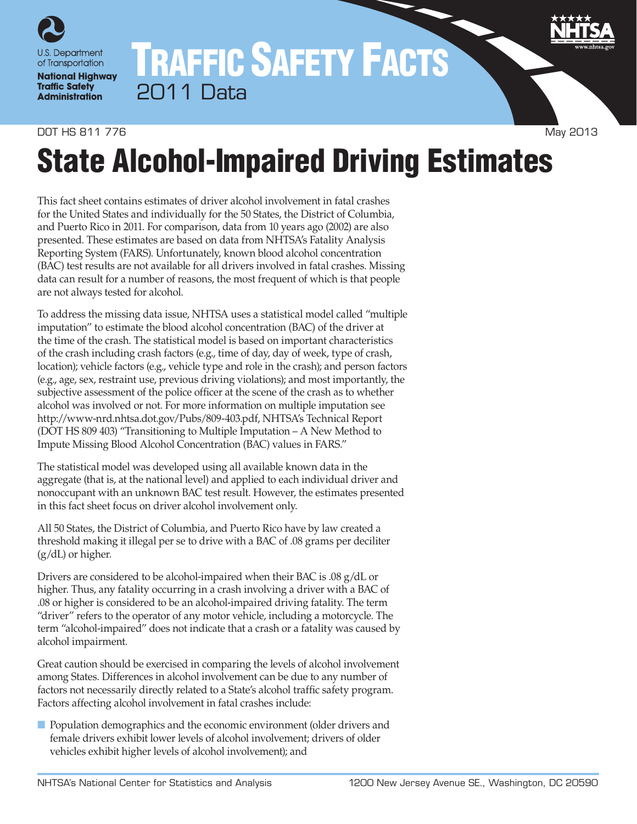

## TRAFFIC SAFETY FACTS 2011 Data

#### DOT HS 811 776 May 2013

# State Alcohol-Impaired Driving Estimates

This fact sheet contains estimates of driver alcohol involvement in fatal crashes for the United States and individually for the 50 States, the District of Columbia, and Puerto Rico in 2011. For comparison, data from 10 years ago (2002) are also presented. These estimates are based on data from NHTSA's Fatality Analysis Reporting System (FARS). Unfortunately, known blood alcohol concentration (BAC) test results are not available for all drivers involved in fatal crashes. Missing data can result for a number of reasons, the most frequent of which is that people are not always tested for alcohol.

To address the missing data issue, NHTSA uses a statistical model called "multiple imputation" to estimate the blood alcohol concentration (BAC) of the driver at the time of the crash. The statistical model is based on important characteristics of the crash including crash factors (e.g., time of day, day of week, type of crash, location); vehicle factors (e.g., vehicle type and role in the crash); and person factors (e.g., age, sex, restraint use, previous driving violations); and most importantly, the subjective assessment of the police officer at the scene of the crash as to whether alcohol was involved or not. For more information on multiple imputation see [http://www‑nrd.nhtsa.dot.gov/Pubs/809-403.pdf,](http://www-nrd.nhtsa.dot.gov/Pubs/809-403.pdf) NHTSA's Technical Report (DOT HS 809 403) "Transitioning to Multiple Imputation – A New Method to Impute Missing Blood Alcohol Concentration (BAC) values in FARS."

The statistical model was developed using all available known data in the aggregate (that is, at the national level) and applied to each individual driver and nonoccupant with an unknown BAC test result. However, the estimates presented in this fact sheet focus on driver alcohol involvement only.

All 50 States, the District of Columbia, and Puerto Rico have by law created a threshold making it illegal per se to drive with a BAC of .08 grams per deciliter (g/dL) or higher.

Drivers are considered to be alcohol-impaired when their BAC is .08 g/dL or higher. Thus, any fatality occurring in a crash involving a driver with a BAC of .08 or higher is considered to be an alcohol-impaired driving fatality. The term "driver" refers to the operator of any motor vehicle, including a motorcycle. The term "alcohol-impaired" does not indicate that a crash or a fatality was caused by alcohol impairment.

Great caution should be exercised in comparing the levels of alcohol involvement among States. Differences in alcohol involvement can be due to any number of factors not necessarily directly related to a State's alcohol traffic safety program. Factors affecting alcohol involvement in fatal crashes include:

■ Population demographics and the economic environment (older drivers and female drivers exhibit lower levels of alcohol involvement; drivers of older vehicles exhibit higher levels of alcohol involvement); and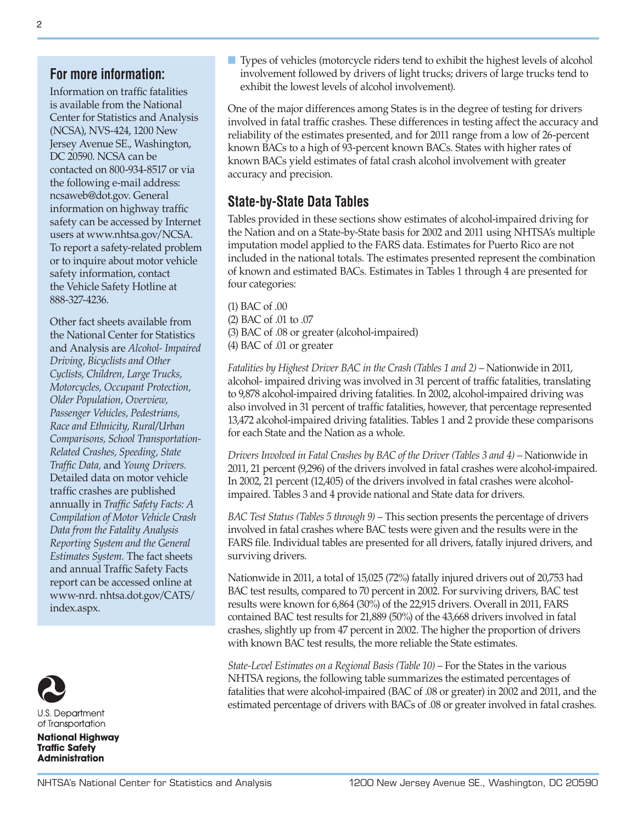### **For more information:**

Information on traffic fatalities is available from the National Center for Statistics and Analysis (NCSA), NVS-424, 1200 New Jersey Avenue SE., Washington, DC 20590. NCSA can be contacted on 800-934-8517 or via the following e-mail address: [ncsaweb@dot.gov](mailto:ncsaweb%40dot.gov?subject=). General information on highway traffic safety can be accessed by Internet users at [www.nhtsa.gov/NCSA](http://www.nhtsa.gov/NCSA). To report a safety-related problem or to inquire about motor vehicle safety information, contact the Vehicle Safety Hotline at 888‑327‑4236.

Other fact sheets available from the National Center for Statistics and Analysis are *Alcohol- Impaired Driving, Bicyclists and Other Cyclists, Children, Large Trucks, Motorcycles, Occupant Protection, Older Population, Overview, Passenger Vehicles, Pedestrians, Race and Ethnicity, Rural/Urban Comparisons, School Transportation-Related Crashes, Speeding, State Traffic Data,* and *Young Drivers.*  Detailed data on motor vehicle traffic crashes are published annually in *Traffic Safety Facts: A Compilation of Motor Vehicle Crash Data from the Fatality Analysis Reporting System and the General Estimates System.* The fact sheets and annual Traffic Safety Facts report can be accessed online at [www-nrd. nhtsa.dot.gov/CATS/](http://www-nrd.nhtsa.dot.gov/CATS/index.aspx) [index.aspx](http://www-nrd.nhtsa.dot.gov/CATS/index.aspx).



**U.S. Department** of Transportation

**National Highway Traffic Safety Administration** 

■ Types of vehicles (motorcycle riders tend to exhibit the highest levels of alcohol involvement followed by drivers of light trucks; drivers of large trucks tend to exhibit the lowest levels of alcohol involvement).

One of the major differences among States is in the degree of testing for drivers involved in fatal traffic crashes. These differences in testing affect the accuracy and reliability of the estimates presented, and for 2011 range from a low of 26-percent known BACs to a high of 93-percent known BACs. States with higher rates of known BACs yield estimates of fatal crash alcohol involvement with greater accuracy and precision.

## **State-by-State Data Tables**

Tables provided in these sections show estimates of alcohol-impaired driving for the Nation and on a State-by-State basis for 2002 and 2011 using NHTSA's multiple imputation model applied to the FARS data. Estimates for Puerto Rico are not included in the national totals. The estimates presented represent the combination of known and estimated BACs. Estimates in Tables 1 through 4 are presented for four categories:

(1) BAC of .00 (2) BAC of .01 to .07 (3) BAC of .08 or greater (alcohol-impaired) (4) BAC of .01 or greater

*Fatalities by Highest Driver BAC in the Crash (Tables 1 and 2)* – Nationwide in 2011, alcohol- impaired driving was involved in 31 percent of traffic fatalities, translating to 9,878 alcohol-impaired driving fatalities. In 2002, alcohol-impaired driving was also involved in 31 percent of traffic fatalities, however, that percentage represented 13,472 alcohol-impaired driving fatalities. Tables 1 and 2 provide these comparisons for each State and the Nation as a whole.

*Drivers Involved in Fatal Crashes by BAC of the Driver (Tables 3 and 4)* – Nationwide in 2011, 21 percent (9,296) of the drivers involved in fatal crashes were alcohol-impaired. In 2002, 21 percent (12,405) of the drivers involved in fatal crashes were alcoholimpaired. Tables 3 and 4 provide national and State data for drivers.

*BAC Test Status (Tables 5 through 9)* – This section presents the percentage of drivers involved in fatal crashes where BAC tests were given and the results were in the FARS file. Individual tables are presented for all drivers, fatally injured drivers, and surviving drivers.

Nationwide in 2011, a total of 15,025 (72%) fatally injured drivers out of 20,753 had BAC test results, compared to 70 percent in 2002. For surviving drivers, BAC test results were known for 6,864 (30%) of the 22,915 drivers. Overall in 2011, FARS contained BAC test results for 21,889 (50%) of the 43,668 drivers involved in fatal crashes, slightly up from 47 percent in 2002. The higher the proportion of drivers with known BAC test results, the more reliable the State estimates.

*State-Level Estimates on a Regional Basis (Table 10)* – For the States in the various NHTSA regions, the following table summarizes the estimated percentages of fatalities that were alcohol-impaired (BAC of .08 or greater) in 2002 and 2011, and the estimated percentage of drivers with BACs of .08 or greater involved in fatal crashes.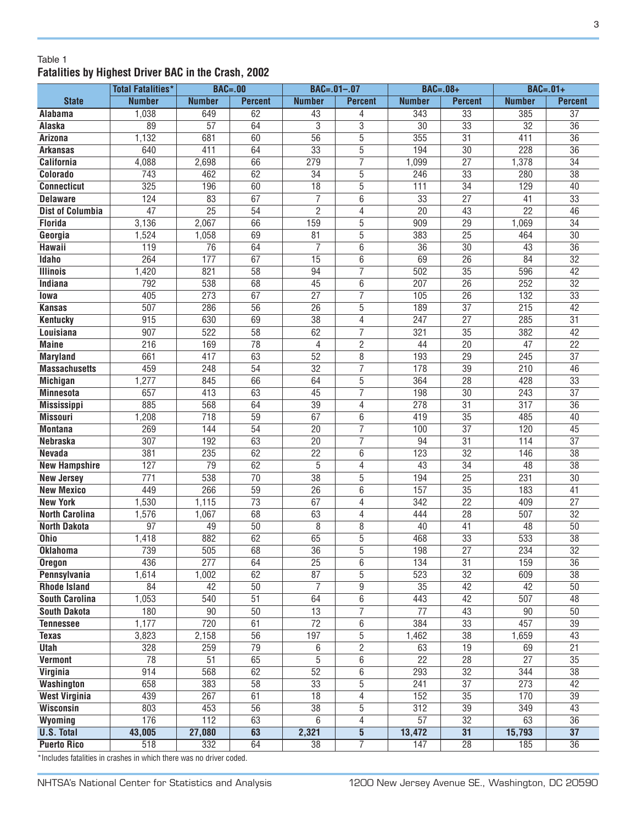#### Table 1 **Fatalities by Highest Driver BAC in the Crash, 2002**

|                         | <b>Total Fatalities*</b> | <b>BAC=.00</b>   |                 | $BAC = .01 - .07$ |                 | <b>BAC=.08+</b> |                 | $BAC=.01+$       |                 |
|-------------------------|--------------------------|------------------|-----------------|-------------------|-----------------|-----------------|-----------------|------------------|-----------------|
| <b>State</b>            | <b>Number</b>            | <b>Number</b>    | <b>Percent</b>  | <b>Number</b>     | <b>Percent</b>  | <b>Number</b>   | <b>Percent</b>  | <b>Number</b>    | <b>Percent</b>  |
| Alabama                 | 1,038                    | 649              | 62              | 43                | 4               | 343             | $\overline{33}$ | 385              | 37              |
| Alaska                  | 89                       | 57               | 64              | 3                 | $\overline{3}$  | 30              | 33              | 32               | 36              |
| <b>Arizona</b>          | 1,132                    | 681              | 60              | $\overline{56}$   | $\overline{5}$  | 355             | 31              | 411              | 36              |
| <b>Arkansas</b>         | 640                      | 411              | 64              | 33                | $\overline{5}$  | 194             | $\overline{30}$ | 228              | 36              |
| <b>California</b>       | 4,088                    | 2,698            | 66              | 279               | $\overline{7}$  | 1,099           | $\overline{27}$ | 1,378            | $\overline{34}$ |
| Colorado                | 743                      | 462              | 62              | $\overline{34}$   | $\overline{5}$  | 246             | 33              | 280              | $\overline{38}$ |
| <b>Connecticut</b>      | 325                      | 196              | 60              | $\overline{18}$   | $\overline{5}$  | 111             | $\overline{34}$ | 129              | 40              |
| <b>Delaware</b>         | 124                      | 83               | 67              | $\overline{7}$    | 6               | $\overline{33}$ | $\overline{27}$ | 41               | $\overline{33}$ |
| <b>Dist of Columbia</b> | 47                       | $\overline{25}$  | 54              | $\overline{2}$    | 4               | $\overline{20}$ | 43              | $\overline{22}$  | 46              |
| <b>Florida</b>          | 3,136                    | 2,067            | 66              | 159               | $\overline{5}$  | 909             | $\overline{29}$ | 1,069            | $\overline{34}$ |
| Georgia                 | 1,524                    | 1,058            | 69              | 81                | 5               | 383             | 25              | 464              | 30              |
| Hawaii                  | 119                      | 76               | 64              | 7                 | 6               | 36              | 30              | 43               | 36              |
| Idaho                   | 264                      | 177              | 67              | 15                | $6\overline{6}$ | 69              | 26              | 84               | $\overline{32}$ |
| <b>Illinois</b>         | 1,420                    | 821              | 58              | 94                | $\overline{7}$  | 502             | 35              | 596              | 42              |
| Indiana                 | 792                      | 538              | 68              | 45                | $\overline{6}$  | 207             | $\overline{26}$ | 252              | $\overline{32}$ |
| lowa                    | 405                      | 273              | 67              | $\overline{27}$   | 7               | 105             | $\overline{26}$ | 132              | $\overline{33}$ |
| <b>Kansas</b>           | 507                      | 286              | $\overline{56}$ | $\overline{26}$   | $\overline{5}$  | 189             | $\overline{37}$ | $\overline{215}$ | 42              |
| <b>Kentucky</b>         | 915                      | 630              | 69              | $\overline{38}$   | $\overline{4}$  | 247             | $\overline{27}$ | 285              | $\overline{31}$ |
| <b>Louisiana</b>        | 907                      | $\overline{522}$ | $\overline{58}$ | 62                | 7               | 321             | $\overline{35}$ | 382              | 42              |
| <b>Maine</b>            | $\overline{216}$         | 169              | 78              | 4                 | $\overline{2}$  | 44              | $\overline{20}$ | 47               | $\overline{22}$ |
| <b>Maryland</b>         | 661                      | 417              | 63              | 52                | $\overline{8}$  | 193             | $\overline{29}$ | 245              | $\overline{37}$ |
| <b>Massachusetts</b>    | 459                      | 248              | 54              | 32                | $\overline{7}$  | 178             | 39              | 210              | 46              |
| <b>Michigan</b>         | 1,277                    | 845              | 66              | 64                | 5               | 364             | 28              | 428              | 33              |
| <b>Minnesota</b>        | 657                      | 413              | 63              | 45                | $\overline{7}$  | 198             | 30              | 243              | $\overline{37}$ |
| <b>Mississippi</b>      | 885                      | 568              | 64              | 39                | $\overline{4}$  | 278             | $\overline{31}$ | 317              | 36              |
| <b>Missouri</b>         | 1,208                    | 718              | 59              | 67                | 6               | 419             | 35              | 485              | 40              |
| <b>Montana</b>          | 269                      | 144              | 54              | 20                | 7               | 100             | $\overline{37}$ | 120              | 45              |
| <b>Nebraska</b>         | 307                      | 192              | 63              | 20                | 7               | 94              | 31              | 114              | $\overline{37}$ |
| <b>Nevada</b>           | 381                      | 235              | 62              | $\overline{22}$   | 6               | 123             | $\overline{32}$ | 146              | $\overline{38}$ |
| <b>New Hampshire</b>    | 127                      | 79               | 62              | 5                 | 4               | 43              | 34              | 48               | $\overline{38}$ |
| <b>New Jersey</b>       | $\overline{771}$         | 538              | $\overline{70}$ | $\overline{38}$   | $\overline{5}$  | 194             | $\overline{25}$ | 231              | $\overline{30}$ |
| <b>New Mexico</b>       | 449                      | 266              | 59              | 26                | $6\phantom{1}6$ | 157             | 35              | 183              | 41              |
| <b>New York</b>         | 1,530                    | 1,115            | 73              | 67                | $\overline{4}$  | 342             | 22              | 409              | 27              |
| <b>North Carolina</b>   | 1,576                    | 1,067            | 68              | 63                | $\overline{4}$  | 444             | 28              | 507              | 32              |
| <b>North Dakota</b>     | 97                       | 49               | 50              | 8                 | 8               | 40              | 41              | 48               | 50              |
| Ohio                    | 1,418                    | 882              | 62              | 65                | $\overline{5}$  | 468             | $\overline{33}$ | 533              | $\overline{38}$ |
| <b>Oklahoma</b>         | 739                      | 505              | $\overline{68}$ | $\overline{36}$   | $\overline{5}$  | 198             | $\overline{27}$ | 234              | $\overline{32}$ |
| <b>Oregon</b>           | 436                      | $\overline{277}$ | 64              | $\overline{25}$   | $\overline{6}$  | 134             | $\overline{31}$ | 159              | 36              |
| Pennsylvania            | 1,614                    | 1,002            | 62              | 87                | $\overline{5}$  | 523             | $\overline{32}$ | 609              | $\overline{38}$ |
| <b>Rhode Island</b>     | 84                       | 42               | $\overline{50}$ | $\overline{7}$    | $\overline{9}$  | $\overline{35}$ | 42              | 42               | 50              |
| <b>South Carolina</b>   | 1,053                    | 540              | 51              | 64                | $\overline{6}$  | 443             | 42              | 507              | 48              |
| <b>South Dakota</b>     | 180                      | 90               | 50              | 13                | $\overline{7}$  | 77              | 43              | 90               | 50              |
| <b>Tennessee</b>        | 1,177                    | 720              | 61              | 72                | 6               | 384             | 33              | 457              | 39              |
| <b>Texas</b>            | 3,823                    | 2,158            | 56              | 197               | 5               | 1,462           | 38              | 1,659            | 43              |
| <b>Utah</b>             | 328                      | 259              | 79              | 6                 | $\overline{2}$  | 63              | 19              | 69               | 21              |
| <b>Vermont</b>          | 78                       | 51               | 65              | 5                 | 6               | $\overline{22}$ | $\overline{28}$ | $\overline{27}$  | 35              |
| Virginia                | 914                      | 568              | 62              | 52                | 6               | 293             | 32              | 344              | 38              |
| Washington              | 658                      | 383              | 58              | 33                | $\overline{5}$  | 241             | $\overline{37}$ | 273              | 42              |
| <b>West Virginia</b>    | 439                      | 267              | 61              | $\overline{18}$   | $\overline{4}$  | 152             | $\overline{35}$ | 170              | 39              |
| <b>Wisconsin</b>        | 803                      | 453              | $\overline{56}$ | $\overline{38}$   | $\overline{5}$  | 312             | $\overline{39}$ | 349              | 43              |
| Wyoming                 | 176                      | 112              | 63              | 6                 | $\overline{4}$  | $\overline{57}$ | $\overline{32}$ | 63               | 36              |
| <b>U.S. Total</b>       | 43,005                   | 27,080           | 63              | 2,321             | $\overline{5}$  | 13,472          | 31              | 15,793           | $\overline{37}$ |
| <b>Puerto Rico</b>      | 518                      | 332              | 64              | 38                | $\overline{7}$  | 147             | $\overline{28}$ | 185              | $\overline{36}$ |

\*Includes fatalities in crashes in which there was no driver coded.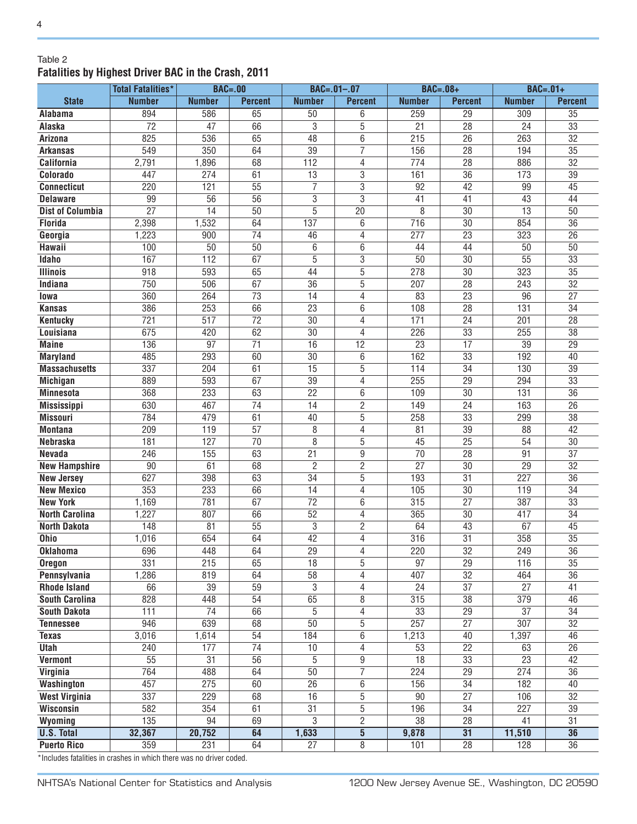#### Table 2 **Fatalities by Highest Driver BAC in the Crash, 2011**

|                         | <b>Total Fatalities*</b> | <b>BAC=.00</b>   |                 | $BAC = .01 - .07$ |                 | $BAC=.08+$       |                 | $BAC=.01+$       |                 |
|-------------------------|--------------------------|------------------|-----------------|-------------------|-----------------|------------------|-----------------|------------------|-----------------|
| <b>State</b>            | <b>Number</b>            | <b>Number</b>    | <b>Percent</b>  | <b>Number</b>     | <b>Percent</b>  | <b>Number</b>    | <b>Percent</b>  | <b>Number</b>    | <b>Percent</b>  |
| Alabama                 | 894                      | 586              | 65              | 50                | 6               | 259              | $\overline{29}$ | 309              | $\overline{35}$ |
| Alaska                  | $\overline{72}$          | $\overline{47}$  | 66              | $\overline{3}$    | 5               | $\overline{21}$  | $\overline{28}$ | 24               | $\overline{33}$ |
| <b>Arizona</b>          | 825                      | 536              | 65              | 48                | 6               | $\overline{215}$ | $\overline{26}$ | 263              | $\overline{32}$ |
| <b>Arkansas</b>         | 549                      | 350              | 64              | $\overline{39}$   | 7               | 156              | $\overline{28}$ | 194              | $\overline{35}$ |
| <b>California</b>       | 2,791                    | 1,896            | 68              | 112               | 4               | 774              | 28              | 886              | 32              |
| Colorado                | 447                      | 274              | 61              | 13                | 3               | 161              | 36              | 173              | 39              |
| <b>Connecticut</b>      | 220                      | 121              | 55              | $\overline{7}$    | 3               | 92               | 42              | 99               | 45              |
| <b>Delaware</b>         | 99                       | 56               | 56              | 3                 | 3               | 41               | 41              | 43               | 44              |
| <b>Dist of Columbia</b> | $\overline{27}$          | $\overline{14}$  | 50              | $\overline{5}$    | $\overline{20}$ | 8                | $\overline{30}$ | $\overline{13}$  | $\overline{50}$ |
| <b>Florida</b>          | 2,398                    | 1,532            | 64              | 137               | 6               | 716              | $\overline{30}$ | 854              | $\overline{36}$ |
| Georgia                 | 1,223                    | 900              | $\overline{74}$ | 46                | 4               | 277              | $\overline{23}$ | 323              | $\overline{26}$ |
| Hawaii                  | 100                      | 50               | $\overline{50}$ | 6                 | 6               | 44               | 44              | 50               | $\overline{50}$ |
| <b>Idaho</b>            | 167                      | $\overline{112}$ | 67              | $\overline{5}$    | $\overline{3}$  | 50               | $\overline{30}$ | $\overline{55}$  | $\overline{33}$ |
| <b>Illinois</b>         | $\overline{918}$         | 593              | 65              | 44                | $\overline{5}$  | 278              | $\overline{30}$ | 323              | $\overline{35}$ |
| Indiana                 | 750                      | 506              | 67              | $\overline{36}$   | 5               | 207              | 28              | 243              | $\overline{32}$ |
| lowa                    | 360                      | 264              | 73              | 14                | 4               | 83               | 23              | 96               | 27              |
| <b>Kansas</b>           | 386                      | 253              | 66              | 23                | 6               | 108              | 28              | 131              | 34              |
| <b>Kentucky</b>         | 721                      | $\overline{517}$ | $\overline{72}$ | $\overline{30}$   | 4               | 171              | $\overline{24}$ | 201              | $\overline{28}$ |
| Louisiana               | 675                      | 420              | 62              | $\overline{30}$   | 4               | 226              | $\overline{33}$ | 255              | $\overline{38}$ |
| <b>Maine</b>            | 136                      | 97               | $\overline{71}$ | $\overline{16}$   | $\overline{12}$ | $\overline{23}$  | 17              | $\overline{39}$  | $\overline{29}$ |
| <b>Maryland</b>         | 485                      | 293              | 60              | $\overline{30}$   | 6               | 162              | $\overline{33}$ | 192              | $\overline{40}$ |
| <b>Massachusetts</b>    | 337                      | $\overline{204}$ | 61              | $\overline{15}$   | 5               | 114              | $\overline{34}$ | 130              | $\overline{39}$ |
| <b>Michigan</b>         | 889                      | 593              | 67              | $\overline{39}$   | $\overline{4}$  | 255              | $\overline{29}$ | 294              | $\overline{33}$ |
| <b>Minnesota</b>        | 368                      | 233              | 63              | $\overline{22}$   | 6               | 109              | $\overline{30}$ | $\overline{131}$ | $\overline{36}$ |
| <b>Mississippi</b>      | 630                      | 467              | 74              | 14                | 2               | 149              | 24              | 163              | 26              |
| <b>Missouri</b>         | 784                      | 479              | 61              | 40                | 5               | 258              | 33              | 299              | 38              |
| <b>Montana</b>          | 209                      | 119              | 57              | 8                 | 4               | 81               | 39              | 88               | 42              |
| <b>Nebraska</b>         | 181                      | 127              | 70              | 8                 | 5               | 45               | $\overline{25}$ | 54               | 30              |
| <b>Nevada</b>           | 246                      | 155              | 63              | 21                | 9               | 70               | 28              | 91               | $\overline{37}$ |
| <b>New Hampshire</b>    | $\overline{90}$          | 61               | 68              | $\overline{2}$    | $\overline{2}$  | $\overline{27}$  | $\overline{30}$ | $\overline{29}$  | $\overline{32}$ |
| <b>New Jersey</b>       | 627                      | 398              | 63              | $\overline{34}$   | $\overline{5}$  | 193              | $\overline{31}$ | 227              | $\overline{36}$ |
| <b>New Mexico</b>       | 353                      | 233              | 66              | $\overline{14}$   | 4               | 105              | $\overline{30}$ | 119              | $\overline{34}$ |
| <b>New York</b>         | 1,169                    | 781              | 67              | $\overline{72}$   | $\overline{6}$  | 315              | $\overline{27}$ | 387              | $\overline{33}$ |
| <b>North Carolina</b>   | 1,227                    | 807              | 66              | 52                | 4               | 365              | $\overline{30}$ | 417              | $\overline{34}$ |
| <b>North Dakota</b>     | 148                      | 81               | 55              | 3                 | 2               | 64               | 43              | 67               | 45              |
| <b>Ohio</b>             | 1,016                    | 654              | 64              | 42                | 4               | 316              | $\overline{31}$ | 358              | $\overline{35}$ |
| <b>Oklahoma</b>         | 696                      | 448              | 64              | $\overline{29}$   | 4               | 220              | 32              | 249              | 36              |
| <b>Oregon</b>           | 331                      | 215              | 65              | 18                | 5               | 97               | 29              | 116              | 35              |
| Pennsylvania            | 1,286                    | 819              | 64              | $\overline{58}$   | 4               | 407              | $\overline{32}$ | 464              | $\overline{36}$ |
| <b>Rhode Island</b>     | 66                       | 39               | 59              | $\overline{3}$    | 4               | $\overline{24}$  | $\overline{37}$ | $\overline{27}$  | $\overline{41}$ |
| <b>South Carolina</b>   | 828                      | 448              | 54              | 65                | 8               | 315              | 38              | 379              | 46              |
| <b>South Dakota</b>     | 111                      | $\overline{74}$  | 66              | 5                 | 4               | 33               | $\overline{29}$ | $\overline{37}$  | 34              |
| <b>Tennessee</b>        | 946                      | 639              | 68              | 50                | 5               | 257              | $\overline{27}$ | $\overline{307}$ | 32              |
| <b>Texas</b>            | 3,016                    | 1,614            | 54              | 184               | 6               | 1,213            | 40              | 1,397            | 46              |
| <b>Utah</b>             | 240                      | 177              | 74              | 10                | 4               | 53               | 22              | 63               | 26              |
| <b>Vermont</b>          | 55                       | 31               | 56              | 5                 | 9               | 18               | 33              | 23               | 42              |
| Virginia                | 764                      | 488              | 64              | 50                | $\overline{7}$  | 224              | 29              | 274              | 36              |
| Washington              | 457                      | 275              | 60              | 26                | 6               | 156              | 34              | 182              | 40              |
| <b>West Virginia</b>    | 337                      | 229              | 68              | 16                | 5               | 90               | 27              | 106              | 32              |
| <b>Wisconsin</b>        | 582                      | 354              | 61              | $\overline{31}$   | $\overline{5}$  | 196              | $\overline{34}$ | 227              | 39              |
| Wyoming                 | 135                      | 94               | 69              | $\overline{3}$    | $\overline{2}$  | 38               | $\overline{28}$ | 41               | $\overline{31}$ |
| <b>U.S. Total</b>       | 32,367                   | 20,752           | 64              | 1,633             | $\overline{5}$  | 9,878            | 31              | 11,510           | 36              |
| <b>Puerto Rico</b>      | 359                      | 231              | 64              | $\overline{27}$   | $\overline{8}$  | 101              | $\overline{28}$ | 128              | $\overline{36}$ |

\*Includes fatalities in crashes in which there was no driver coded.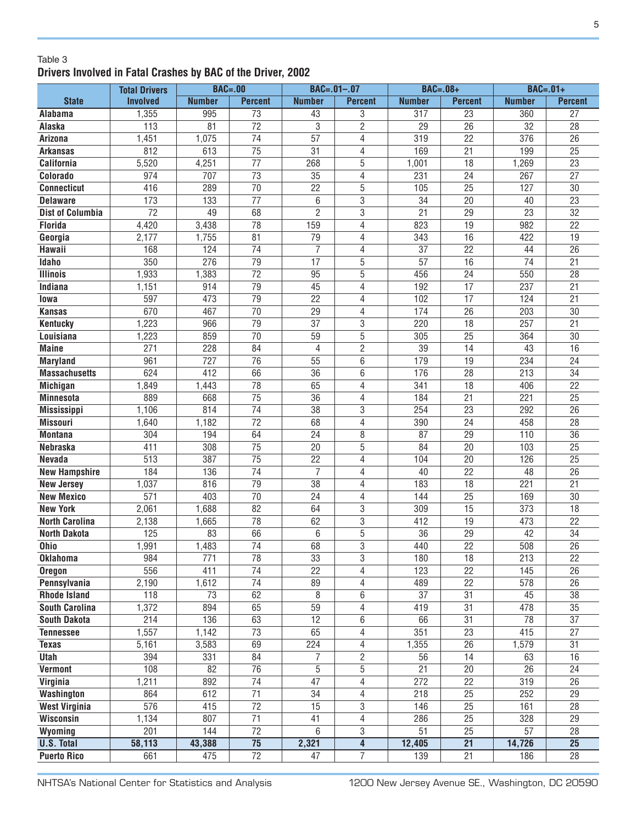#### Table 3 **Drivers Involved in Fatal Crashes by BAC of the Driver, 2002**

|                         | <b>Total Drivers</b> | $BAC=.00$       |                 | $BAC = .01 - .07$ |                         | $BAC=.08+$       |                 | $BAC=.01+$      |                 |
|-------------------------|----------------------|-----------------|-----------------|-------------------|-------------------------|------------------|-----------------|-----------------|-----------------|
| <b>State</b>            | <b>Involved</b>      | <b>Number</b>   | <b>Percent</b>  | <b>Number</b>     | <b>Percent</b>          | <b>Number</b>    | <b>Percent</b>  | <b>Number</b>   | <b>Percent</b>  |
| Alabama                 | 1,355                | 995             | $\overline{73}$ | 43                | 3                       | 317              | 23              | 360             | 27              |
| Alaska                  | 113                  | 81              | $\overline{72}$ | 3                 | $\overline{2}$          | 29               | 26              | 32              | 28              |
| Arizona                 | 1,451                | 1,075           | 74              | 57                | $\overline{4}$          | 319              | $\overline{22}$ | 376             | $\overline{26}$ |
| <b>Arkansas</b>         | 812                  | 613             | $\overline{75}$ | 31                | 4                       | 169              | 21              | 199             | $\overline{25}$ |
| <b>California</b>       | 5,520                | 4,251           | 77              | 268               | 5                       | 1,001            | 18              | 1,269           | 23              |
| Colorado                | 974                  | 707             | $\overline{73}$ | 35                | 4                       | 231              | 24              | 267             | $\overline{27}$ |
| <b>Connecticut</b>      | 416                  | 289             | 70              | 22                | 5                       | 105              | $\overline{25}$ | 127             | 30              |
| <b>Delaware</b>         | 173                  | 133             | $\overline{77}$ | 6                 | $\overline{3}$          | 34               | 20              | 40              | $\overline{23}$ |
| <b>Dist of Columbia</b> | $\overline{72}$      | 49              | 68              | $\overline{2}$    | $\sqrt{3}$              | 21               | 29              | 23              | 32              |
| <b>Florida</b>          | 4,420                | 3,438           | 78              | 159               | 4                       | 823              | 19              | 982             | 22              |
| Georgia                 | 2,177                | 1,755           | 81              | 79                | 4                       | 343              | 16              | 422             | 19              |
| Hawaii                  | 168                  | 124             | $\overline{74}$ | $\overline{7}$    | 4                       | 37               | $\overline{22}$ | 44              | $\overline{26}$ |
| Idaho                   | $\overline{350}$     | 276             | $\overline{79}$ | $\overline{17}$   | 5                       | 57               | 16              | $\overline{74}$ | 21              |
| <b>Illinois</b>         | 1,933                | 1,383           | $\overline{72}$ | 95                | $\overline{5}$          | 456              | 24              | 550             | 28              |
| Indiana                 | 1,151                | 914             | 79              | 45                | 4                       | 192              | 17              | 237             | 21              |
| lowa                    | 597                  | 473             | 79              | 22                | 4                       | 102              | 17              | 124             | 21              |
| <b>Kansas</b>           | 670                  | 467             | $\overline{70}$ | 29                | 4                       | 174              | 26              | 203             | 30              |
| <b>Kentucky</b>         | 1,223                | 966             | 79              | 37                | 3                       | 220              | 18              | 257             | 21              |
| Louisiana               | 1,223                | 859             | $\overline{70}$ | 59                | $\overline{5}$          | 305              | $\overline{25}$ | 364             | 30              |
| <b>Maine</b>            | 271                  | 228             | 84              | 4                 | $\overline{c}$          | 39               | 14              | 43              | 16              |
| <b>Maryland</b>         | 961                  | 727             | 76              | 55                | 6                       | 179              | 19              | 234             | 24              |
| <b>Massachusetts</b>    | 624                  | 412             | 66              | 36                | 6                       | 176              | 28              | 213             | 34              |
| <b>Michigan</b>         | 1,849                | 1,443           | 78              | 65                | 4                       | 341              | 18              | 406             | 22              |
| <b>Minnesota</b>        | 889                  | 668             | 75              | 36                | 4                       | 184              | 21              | 221             | 25              |
| <b>Mississippi</b>      | 1,106                | 814             | 74              | 38                | 3                       | 254              | 23              | 292             | 26              |
| <b>Missouri</b>         | 1,640                | 1,182           | 72              | 68                | 4                       | 390              | 24              | 458             | 28              |
| <b>Montana</b>          | 304                  | 194             | 64              | 24                | 8                       | 87               | 29              | 110             | $\overline{36}$ |
| <b>Nebraska</b>         | 411                  | 308             | 75              | 20                | 5                       | 84               | 20              | 103             | 25              |
| Nevada                  | 513                  | 387             | 75              | 22                | 4                       | 104              | 20              | 126             | $\overline{25}$ |
| <b>New Hampshire</b>    | 184                  | 136             | 74              | $\overline{7}$    | 4                       | 40               | 22              | 48              | 26              |
| <b>New Jersey</b>       | 1,037                | 816             | 79              | 38                | 4                       | 183              | 18              | 221             | 21              |
| <b>New Mexico</b>       | 571                  | 403             | 70              | 24                | 4                       | 144              | 25              | 169             | 30              |
| <b>New York</b>         | 2,061                | 1,688           | 82              | 64                | 3                       | 309              | 15              | 373             | 18              |
| <b>North Carolina</b>   | 2,138                | 1,665           | $\overline{78}$ | 62                | 3                       | 412              | 19              | 473             | 22              |
| <b>North Dakota</b>     | 125                  | 83              | 66              | 6                 | $\overline{5}$          | 36               | 29              | 42              | 34              |
| <b>Ohio</b>             | 1,991                | 1,483           | $\overline{74}$ | 68                | $\overline{3}$          | 440              | 22              | 508             | $\overline{26}$ |
| <b>Oklahoma</b>         | 984                  | 771             | 78              | 33                | 3                       | 180              | 18              | 213             | 22              |
| <b>Oregon</b>           | 556                  | 411             | $\overline{74}$ | $\overline{22}$   | 4                       | 123              | $\overline{22}$ | 145             | $\overline{26}$ |
| Pennsylvania            | 2,190                | 1,612           | $\overline{74}$ | 89                | $\overline{4}$          | 489              | 22              | 578             | 26              |
| <b>Rhode Island</b>     | 118                  | 73              | 62              | 8                 | 6                       | 37               | 31              | 45              | 38              |
| <b>South Carolina</b>   | 1,372                | 894             | 65              | 59                | $\overline{4}$          | 419              | 31              | 478             | 35              |
| <b>South Dakota</b>     | 214                  | 136             | 63              | 12                | 6                       | 66               | 31              | 78              | 37              |
| <b>Tennessee</b>        | 1,557                | 1,142           | $\overline{73}$ | 65                | 4                       | 351              | 23              | 415             | 27              |
| <b>Texas</b>            | 5,161                | 3,583           | 69              | 224               | 4                       | 1,355            | 26              | 1,579           | 31              |
| <b>Utah</b>             | 394                  | 331             | 84              | $\overline{7}$    | $\overline{2}$          | 56               | $\overline{14}$ | 63              | 16              |
| <b>Vermont</b>          | 108                  | $\overline{82}$ | $\overline{76}$ | 5                 | $\overline{5}$          | $\overline{21}$  | $\overline{20}$ | $\overline{26}$ | 24              |
| Virginia                | 1,211                | 892             | $\overline{74}$ | $\overline{47}$   | $\overline{4}$          | $\overline{272}$ | $\overline{22}$ | 319             | 26              |
| Washington              | 864                  | 612             | $\overline{71}$ | 34                | 4                       | 218              | 25              | 252             | 29              |
| <b>West Virginia</b>    | 576                  | 415             | $\overline{72}$ | $\overline{15}$   | $\overline{3}$          | 146              | $\overline{25}$ | 161             | 28              |
| <b>Wisconsin</b>        | 1,134                | 807             | $\overline{71}$ | 41                | 4                       | 286              | $\overline{25}$ | 328             | 29              |
| Wyoming                 | 201                  | 144             | $\overline{72}$ | 6                 | 3                       | 51               | $\overline{25}$ | 57              | 28              |
| <b>U.S. Total</b>       | 58,113               | 43,388          | $\overline{75}$ | 2,321             | $\overline{\mathbf{4}}$ | 12,405           | $\overline{21}$ | 14,726          | $\overline{25}$ |
| <b>Puerto Rico</b>      | 661                  | 475             | $\overline{72}$ | 47                | $\overline{7}$          | 139              | 21              | 186             | 28              |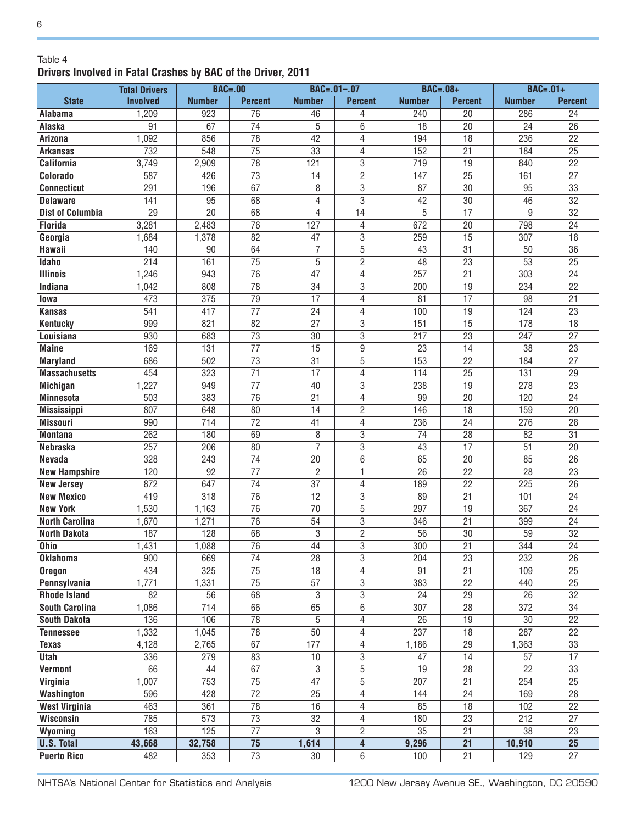#### Table 4 **Drivers Involved in Fatal Crashes by BAC of the Driver, 2011**

|                         | <b>Total Drivers</b> | $BAC=.00$     |                 |                 | $BAC = .01 - .07$ | <b>BAC=.08+</b> |                 | $BAC=.01+$      |                 |
|-------------------------|----------------------|---------------|-----------------|-----------------|-------------------|-----------------|-----------------|-----------------|-----------------|
| <b>State</b>            | <b>Involved</b>      | <b>Number</b> | <b>Percent</b>  | <b>Number</b>   | <b>Percent</b>    | <b>Number</b>   | <b>Percent</b>  | <b>Number</b>   | <b>Percent</b>  |
| <b>Alabama</b>          | 1,209                | 923           | $\overline{76}$ | 46              | 4                 | 240             | 20              | 286             | 24              |
| Alaska                  | 91                   | 67            | 74              | 5               | 6                 | 18              | 20              | 24              | 26              |
| Arizona                 | 1,092                | 856           | $\overline{78}$ | 42              | 4                 | 194             | $\overline{18}$ | 236             | $\overline{22}$ |
| <b>Arkansas</b>         | 732                  | 548           | $\overline{75}$ | 33              | 4                 | 152             | $\overline{21}$ | 184             | $\overline{25}$ |
| <b>California</b>       | 3,749                | 2,909         | 78              | 121             | 3                 | 719             | 19              | 840             | $\overline{22}$ |
| Colorado                | 587                  | 426           | 73              | 14              | $\overline{2}$    | 147             | $\overline{25}$ | 161             | $\overline{27}$ |
| <b>Connecticut</b>      | 291                  | 196           | 67              | 8               | 3                 | 87              | 30              | 95              | 33              |
| <b>Delaware</b>         | 141                  | 95            | 68              | 4               | $\overline{3}$    | 42              | $\overline{30}$ | 46              | $\overline{32}$ |
| <b>Dist of Columbia</b> | 29                   | 20            | 68              | $\overline{4}$  | 14                | 5               | 17              | 9               | 32              |
| <b>Florida</b>          | 3,281                | 2,483         | 76              | 127             | 4                 | 672             | 20              | 798             | 24              |
| Georgia                 | 1,684                | 1,378         | 82              | 47              | 3                 | 259             | 15              | 307             | 18              |
| Hawaii                  | 140                  | 90            | 64              | $\overline{7}$  | 5                 | 43              | 31              | 50              | 36              |
| Idaho                   | 214                  | 161           | 75              | 5               | $\overline{c}$    | 48              | 23              | 53              | 25              |
| <b>Illinois</b>         | 1,246                | 943           | $\overline{76}$ | 47              | 4                 | 257             | 21              | 303             | 24              |
| Indiana                 | 1,042                | 808           | $\overline{78}$ | 34              | 3                 | 200             | 19              | 234             | 22              |
| lowa                    | 473                  | 375           | $\overline{79}$ | 17              | 4                 | 81              | 17              | 98              | 21              |
| <b>Kansas</b>           | 541                  | 417           | $\overline{77}$ | 24              | 4                 | 100             | 19              | 124             | 23              |
| <b>Kentucky</b>         | 999                  | 821           | 82              | 27              | 3                 | 151             | 15              | 178             | 18              |
| Louisiana               | 930                  | 683           | 73              | 30              | 3                 | 217             | 23              | 247             | $\overline{27}$ |
| <b>Maine</b>            | 169                  | 131           | 77              | 15              | 9                 | 23              | 14              | 38              | 23              |
| <b>Maryland</b>         | 686                  | 502           | 73              | 31              | 5                 | 153             | 22              | 184             | 27              |
| <b>Massachusetts</b>    | 454                  | 323           | 71              | 17              | 4                 | 114             | 25              | 131             | 29              |
| <b>Michigan</b>         | 1,227                | 949           | 77              | 40              | 3                 | 238             | 19              | 278             | 23              |
| <b>Minnesota</b>        | 503                  | 383           | 76              | 21              | 4                 | 99              | 20              | 120             | 24              |
| <b>Mississippi</b>      | 807                  | 648           | 80              | 14              | $\overline{2}$    | 146             | 18              | 159             | 20              |
| <b>Missouri</b>         | 990                  | 714           | 72              | 41              | 4                 | 236             | 24              | 276             | 28              |
| <b>Montana</b>          | 262                  | 180           | 69              | 8               | 3                 | 74              | 28              | 82              | 31              |
| <b>Nebraska</b>         | 257                  | 206           | 80              | $\overline{7}$  | 3                 | 43              | 17              | 51              | 20              |
| <b>Nevada</b>           | 328                  | 243           | 74              | 20              | 6                 | 65              | 20              | 85              | 26              |
| <b>New Hampshire</b>    | 120                  | 92            | 77              | $\overline{2}$  | 1                 | $\overline{26}$ | 22              | 28              | 23              |
| <b>New Jersey</b>       | 872                  | 647           | 74              | 37              | 4                 | 189             | 22              | 225             | 26              |
| <b>New Mexico</b>       | 419                  | 318           | 76              | 12              | 3                 | 89              | 21              | 101             | 24              |
| <b>New York</b>         | 1,530                | 1,163         | 76              | 70              | $\overline{5}$    | 297             | 19              | 367             | 24              |
| <b>North Carolina</b>   | 1,670                | 1,271         | 76              | 54              | $\,3$             | 346             | 21              | 399             | 24              |
| <b>North Dakota</b>     | 187                  | 128           | 68              | 3               | $\overline{2}$    | 56              | 30              | 59              | 32              |
| Ohio                    | 1,431                | 1,088         | $\overline{76}$ | 44              | 3                 | 300             | $\overline{21}$ | 344             | $\overline{24}$ |
| <b>Oklahoma</b>         | 900                  | 669           | $\overline{74}$ | $\overline{28}$ | 3                 | 204             | 23              | 232             | 26              |
| <b>Oregon</b>           | 434                  | 325           | $\overline{75}$ | 18              | $\overline{4}$    | 91              | 21              | 109             | 25              |
| Pennsylvania            | 1,771                | 1,331         | $\overline{75}$ | 57              | 3                 | 383             | 22              | 440             | 25              |
| <b>Rhode Island</b>     | 82                   | 56            | 68              | 3               | 3                 | 24              | 29              | 26              | 32              |
| <b>South Carolina</b>   | 1,086                | 714           | 66              | 65              | $\overline{6}$    | 307             | 28              | 372             | 34              |
|                         | 136                  | 106           | 78              | 5               |                   | 26              | 19              | 30              | $\overline{22}$ |
| <b>South Dakota</b>     |                      |               | $\overline{78}$ |                 | 4                 |                 |                 |                 |                 |
| <b>Tennessee</b>        | 1,332                | 1,045         | 67              | 50              | 4                 | 237             | 18              | 287             | 22              |
| <b>Texas</b>            | 4,128                | 2,765         |                 | 177             | 4                 | 1,186           | $\overline{29}$ | 1,363           | 33              |
| <b>Utah</b>             | 336                  | 279           | 83              | 10              | 3                 | 47              | $\overline{14}$ | 57              | $\overline{17}$ |
| <b>Vermont</b>          | 66                   | 44            | 67              | 3               | $\overline{5}$    | 19              | $\overline{28}$ | $\overline{22}$ | $\overline{33}$ |
| Virginia                | 1,007                | 753           | 75              | $\overline{47}$ | 5                 | 207             | 21              | 254             | $\overline{25}$ |
| Washington              | 596                  | 428           | $\overline{72}$ | $\overline{25}$ | 4                 | 144             | 24              | 169             | 28              |
| <b>West Virginia</b>    | 463                  | 361           | $\overline{78}$ | 16              | 4                 | 85              | 18              | 102             | $\overline{22}$ |
| <b>Wisconsin</b>        | 785                  | 573           | $\overline{73}$ | $\overline{32}$ | 4                 | 180             | 23              | 212             | 27              |
| Wyoming                 | 163                  | 125           | $\overline{77}$ | 3               | $\overline{2}$    | 35              | 21              | 38              | 23              |
| <b>U.S. Total</b>       | 43,668               | 32,758        | $\overline{75}$ | 1,614           | 4                 | 9,296           | $\overline{21}$ | 10,910          | $\overline{25}$ |
| <b>Puerto Rico</b>      | 482                  | 353           | $\overline{73}$ | 30              | 6                 | 100             | 21              | 129             | $\overline{27}$ |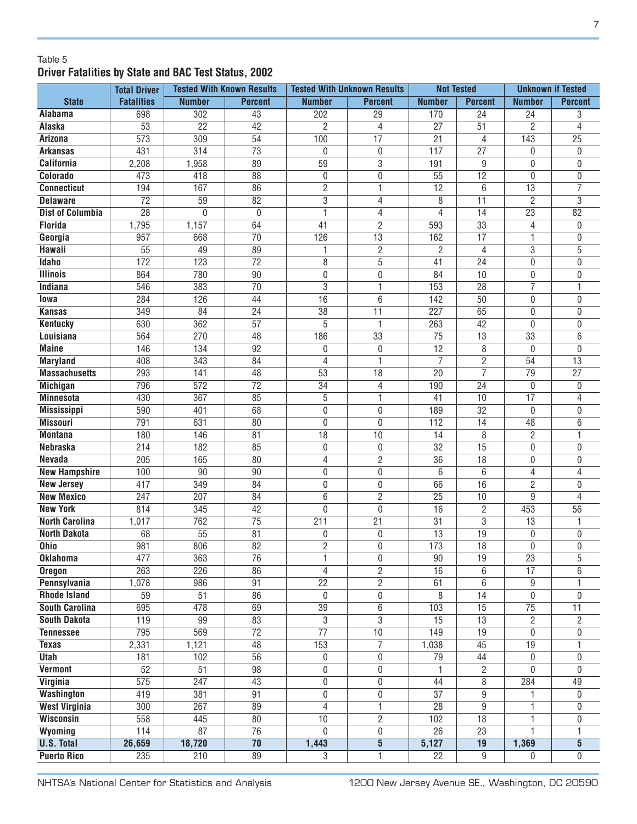#### Table 5 **Driver Fatalities by State and BAC Test Status, 2002**

|                         | <b>Total Driver</b> |                  | <b>Tested With Known Results</b> | <b>Tested With Unknown Results</b> |                 | <b>Not Tested</b> |                 | <b>Unknown if Tested</b> |                 |
|-------------------------|---------------------|------------------|----------------------------------|------------------------------------|-----------------|-------------------|-----------------|--------------------------|-----------------|
| <b>State</b>            | <b>Fatalities</b>   | <b>Number</b>    | <b>Percent</b>                   | <b>Number</b>                      | <b>Percent</b>  | <b>Number</b>     | <b>Percent</b>  | <b>Number</b>            | <b>Percent</b>  |
| Alabama                 | 698                 | 302              | 43                               | 202                                | 29              | 170               | 24              | 24                       | 3               |
| Alaska                  | $\overline{53}$     | $\overline{22}$  | $\overline{42}$                  | 2                                  | 4               | $\overline{27}$   | $\overline{51}$ | 2                        | 4               |
| Arizona                 | 573                 | 309              | 54                               | 100                                | $\overline{17}$ | $\overline{21}$   | 4               | 143                      | $\overline{25}$ |
| <b>Arkansas</b>         | 431                 | $\overline{314}$ | $\overline{73}$                  | 0                                  | 0               | $\overline{117}$  | $\overline{27}$ | 0                        | 0               |
| <b>California</b>       | 2,208               | 1,958            | 89                               | $\overline{59}$                    | 3               | 191               | 9               | 0                        | 0               |
| Colorado                | 473                 | 418              | 88                               | $\pmb{0}$                          | 0               | 55                | $\overline{12}$ | 0                        | 0               |
| <b>Connecticut</b>      | 194                 | 167              | $\overline{86}$                  | $\overline{2}$                     | 1               | $\overline{12}$   | 6               | $\overline{13}$          | $\overline{7}$  |
| <b>Delaware</b>         | $\overline{72}$     | 59               | 82                               | $\overline{3}$                     | 4               | 8                 | $\overline{11}$ | $\overline{2}$           | $\overline{3}$  |
| <b>Dist of Columbia</b> | $\overline{28}$     | 0                | $\mathbf 0$                      | 1                                  | 4               | 4                 | 14              | 23                       | $\overline{82}$ |
| <b>Florida</b>          | 1,795               | 1,157            | 64                               | 41                                 | $\overline{2}$  | 593               | $\overline{33}$ | 4                        | 0               |
| Georgia                 | 957                 | 668              | $\overline{70}$                  | 126                                | $\overline{13}$ | 162               | $\overline{17}$ | 1                        | 0               |
| Hawaii                  | 55                  | 49               | 89                               | 1                                  | $\overline{2}$  | $\overline{2}$    | 4               | 3                        | 5               |
| <b>Idaho</b>            | 172                 | $\overline{123}$ | $\overline{72}$                  | 8                                  | $\overline{5}$  | 41                | $\overline{24}$ | 0                        | 0               |
| <b>Illinois</b>         | 864                 | 780              | 90                               | $\boldsymbol{0}$                   | 0               | 84                | 10              | 0                        | 0               |
| Indiana                 | 546                 | 383              | $\overline{70}$                  | $\overline{3}$                     | 1               | 153               | $\overline{28}$ | $\overline{7}$           | 1               |
| lowa                    | 284                 | 126              | 44                               | $\overline{16}$                    | 6               | 142               | 50              | 0                        | 0               |
| <b>Kansas</b>           | 349                 | 84               | 24                               | 38                                 | 11              | 227               | 65              | 0                        | 0               |
| <b>Kentucky</b>         | 630                 | 362              | $\overline{57}$                  | $\overline{5}$                     | $\mathbf{1}$    | 263               | $\overline{42}$ | $\mathbf{0}$             | 0               |
| Louisiana               | 564                 | 270              | 48                               | 186                                | 33              | 75                | $\overline{13}$ | 33                       | 6               |
| <b>Maine</b>            | 146                 | 134              | 92                               | 0                                  | 0               | 12                | 8               | $\mathbf{0}$             | 0               |
| <b>Maryland</b>         | 408                 | $\overline{343}$ | 84                               | 4                                  | 1               | 7                 | 2               | 54                       | $\overline{13}$ |
| <b>Massachusetts</b>    | 293                 | 141              | 48                               | 53                                 | 18              | $\overline{20}$   | 7               | 79                       | 27              |
| <b>Michigan</b>         | 796                 | $\overline{572}$ | $\overline{72}$                  | $\overline{34}$                    | 4               | 190               | 24              | 0                        | 0               |
| <b>Minnesota</b>        | 430                 | 367              | 85                               | $\overline{5}$                     | 1               | 41                | 10              | $\overline{17}$          | 4               |
| <b>Mississippi</b>      | 590                 | 401              | 68                               | $\pmb{0}$                          | 0               | 189               | 32              | $\mathbf{0}$             | 0               |
| <b>Missouri</b>         | 791                 | 631              | 80                               | $\boldsymbol{0}$                   | $\mathbf{0}$    | 112               | 14              | 48                       | 6               |
| <b>Montana</b>          | 180                 | 146              | 81                               | 18                                 | 10              | 14                | 8               | $\mathbf{2}$             | 1               |
| <b>Nebraska</b>         | 214                 | 182              | 85                               | $\pmb{0}$                          | $\mathbf 0$     | 32                | 15              | 0                        | 0               |
| <b>Nevada</b>           | 205                 | 165              | 80                               | 4                                  | $\overline{2}$  | 36                | $\overline{18}$ | 0                        | 0               |
| <b>New Hampshire</b>    | 100                 | 90               | 90                               | $\pmb{0}$                          | 0               | 6                 | 6               | 4                        | 4               |
| <b>New Jersey</b>       | 417                 | 349              | 84                               | $\pmb{0}$                          | 0               | 66                | 16              | $\overline{2}$           | 0               |
| <b>New Mexico</b>       | 247                 | 207              | 84                               | $\overline{6}$                     | $\overline{2}$  | $\overline{25}$   | 10              | 9                        | 4               |
| <b>New York</b>         | 814                 | 345              | 42                               | $\mathbf 0$                        | $\mathbf{0}$    | 16                | $\overline{c}$  | 453                      | 56              |
| <b>North Carolina</b>   | 1,017               | $\overline{762}$ | $\overline{75}$                  | 211                                | $\overline{21}$ | $\overline{31}$   | $\overline{3}$  | $\overline{13}$          | 1               |
| <b>North Dakota</b>     | 68                  | $\overline{55}$  | $\overline{81}$                  | $\boldsymbol{0}$                   | 0               | $\overline{13}$   | $\overline{19}$ | $\mathbf 0$              | 0               |
| <b>Ohio</b>             | 981                 | 806              | 82                               | $\overline{2}$                     | $\mathbf{0}$    | 173               | $\overline{18}$ | $\mathbf{0}$             | 0               |
| <b>Oklahoma</b>         | 477                 | 363              | $\overline{76}$                  | 1                                  | 0               | 90                | $\overline{19}$ | $\overline{23}$          | 5               |
| <b>Oregon</b>           | 263                 | $\overline{226}$ | $\overline{86}$                  | 4                                  | $\overline{c}$  | 16                | 6               | 17                       | 6               |
| Pennsylvania            | 1,078               | 986              | 91                               | 22                                 | $\overline{2}$  | 61                | 6               | 9                        |                 |
| <b>Rhode Island</b>     | $\overline{59}$     | $\overline{51}$  | $\overline{86}$                  | 0                                  | 0               | 8                 | $\overline{14}$ | $\overline{0}$           | 0               |
| <b>South Carolina</b>   | 695                 | 478              | 69                               | 39                                 | 6               | 103               | 15              | $\overline{75}$          | 11              |
| <b>South Dakota</b>     | 119                 | 99               | $\overline{83}$                  | $\overline{3}$                     | $\overline{3}$  | $\overline{15}$   | $\overline{13}$ | $\overline{2}$           | $\overline{c}$  |
| <b>Tennessee</b>        | 795                 | 569              | $\overline{72}$                  | $\overline{77}$                    | 10              | $\overline{149}$  | $\overline{19}$ | $\overline{0}$           | 0               |
| <b>Texas</b>            | 2,331               | 1,121            | 48                               | 153                                | $\overline{7}$  | 1,038             | 45              | 19                       |                 |
| <b>Utah</b>             | 181                 | 102              | $\overline{56}$                  | 0                                  | 0               | 79                | 44              | $\mathbf 0$              | 0               |
| <b>Vermont</b>          | $\overline{52}$     | $\overline{51}$  | $\overline{98}$                  | 0                                  | 0               | 1                 | $\overline{2}$  | 0                        | 0               |
| <b>Virginia</b>         | $\overline{575}$    | 247              | 43                               | 0                                  | 0               | 44                | 8               | 284                      | 49              |
| <b>Washington</b>       | 419                 | 381              | $\overline{91}$                  | 0                                  | 0               | $\overline{37}$   | $\overline{9}$  |                          | 0               |
| <b>West Virginia</b>    | 300                 | 267              | 89                               | 4                                  | 1               | $\overline{28}$   | $\overline{9}$  | 1                        | 0               |
| Wisconsin               | 558                 | 445              | 80                               | 10                                 | $\overline{2}$  | 102               | $\overline{18}$ | 1                        | 0               |
| Wyoming                 | 114                 | $\overline{87}$  | $\overline{76}$                  | $\Omega$                           | 0               | $\overline{26}$   | $\overline{23}$ | 1                        | 1               |
| <b>U.S. Total</b>       | 26,659              | 18,720           | $\overline{70}$                  | 1,443                              | $\overline{5}$  | 5,127             | 19              | 1,369                    | $\overline{5}$  |
| <b>Puerto Rico</b>      | 235                 | 210              | $\overline{89}$                  | $\overline{3}$                     | $\overline{1}$  | $\overline{22}$   | 9               | $\mathbf{0}$             | $\overline{0}$  |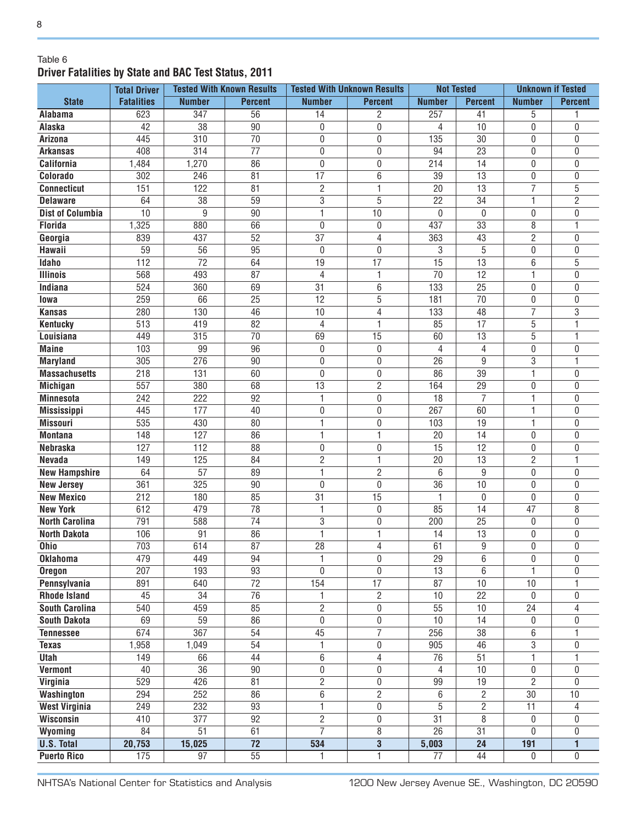#### Table 6 **Driver Fatalities by State and BAC Test Status, 2011**

|                         | <b>Total Driver</b> |                 | <b>Tested With Known Results</b> |                 | <b>Tested With Unknown Results</b> | <b>Not Tested</b> |                 | <b>Unknown if Tested</b> |                |
|-------------------------|---------------------|-----------------|----------------------------------|-----------------|------------------------------------|-------------------|-----------------|--------------------------|----------------|
| <b>State</b>            | <b>Fatalities</b>   | <b>Number</b>   | <b>Percent</b>                   | <b>Number</b>   | <b>Percent</b>                     | <b>Number</b>     | <b>Percent</b>  | <b>Number</b>            | <b>Percent</b> |
| Alabama                 | 623                 | 347             | $\overline{56}$                  | 14              | $\overline{c}$                     | 257               | 41              | 5                        |                |
| Alaska                  | 42                  | 38              | 90                               | 0               | 0                                  | 4                 | 10              | 0                        | 0              |
| <b>Arizona</b>          | 445                 | 310             | $\overline{70}$                  | 0               | 0                                  | $\overline{135}$  | $\overline{30}$ | 0                        | 0              |
| <b>Arkansas</b>         | 408                 | 314             | $\overline{77}$                  | 0               | 0                                  | 94                | $\overline{23}$ | 0                        | 0              |
| <b>California</b>       | 1,484               | 1,270           | 86                               | $\mathbf 0$     | 0                                  | 214               | 14              | 0                        | 0              |
| Colorado                | 302                 | 246             | 81                               | $\overline{17}$ | 6                                  | 39                | 13              | 0                        | 0              |
| <b>Connecticut</b>      | 151                 | 122             | 81                               | $\overline{c}$  | 1                                  | 20                | $\overline{13}$ | $\overline{7}$           | 5              |
| <b>Delaware</b>         | 64                  | 38              | 59                               | 3               | 5                                  | 22                | 34              | 1                        | $\overline{2}$ |
| <b>Dist of Columbia</b> | 10                  | $\overline{9}$  | 90                               | 1               | 10                                 | $\mathbf{0}$      | $\mathbf{0}$    | 0                        | $\mathbf{0}$   |
| <b>Florida</b>          | 1,325               | 880             | 66                               | $\mathbf{0}$    | 0                                  | 437               | $\overline{33}$ | 8                        | 1              |
| Georgia                 | 839                 | 437             | 52                               | $\overline{37}$ | $\overline{4}$                     | 363               | 43              | $\overline{2}$           | $\mathbf{0}$   |
| Hawaii                  | 59                  | 56              | 95                               | 0               | $\mathbf 0$                        | 3                 | 5               | 0                        | $\mathbf{0}$   |
| Idaho                   | 112                 | $\overline{72}$ | 64                               | 19              | 17                                 | 15                | 13              | 6                        | 5              |
| <b>Illinois</b>         | 568                 | 493             | 87                               | 4               | 1                                  | $\overline{70}$   | $\overline{12}$ | 1                        | 0              |
| Indiana                 | 524                 | 360             | 69                               | 31              | 6                                  | 133               | 25              | 0                        | 0              |
| lowa                    | 259                 | 66              | 25                               | $\overline{12}$ | 5                                  | 181               | $\overline{70}$ | 0                        | $\mathbf{0}$   |
| <b>Kansas</b>           | 280                 | 130             | 46                               | 10              | 4                                  | 133               | 48              | $\overline{7}$           | $\overline{3}$ |
| <b>Kentucky</b>         | 513                 | 419             | 82                               | 4               | $\mathbf{1}$                       | 85                | 17              | 5                        | 1              |
| Louisiana               | 449                 | 315             | $\overline{70}$                  | 69              | 15                                 | 60                | 13              | 5                        | 1              |
| <b>Maine</b>            | 103                 | 99              | 96                               | $\pmb{0}$       | $\mathbf 0$                        | $\overline{4}$    | 4               | 0                        | 0              |
| <b>Maryland</b>         | 305                 | 276             | 90                               | 0               | $\mathbf{0}$                       | 26                | 9               | 3                        | 1              |
| <b>Massachusetts</b>    | 218                 | 131             | 60                               | 0               | $\mathbf 0$                        | 86                | 39              | 1                        | 0              |
| <b>Michigan</b>         | 557                 | 380             | 68                               | 13              | $\overline{2}$                     | 164               | 29              | 0                        | 0              |
| <b>Minnesota</b>        | 242                 | 222             | 92                               | 1               | 0                                  | 18                | $\overline{7}$  | 1                        | 0              |
| <b>Mississippi</b>      | 445                 | 177             | 40                               | 0               | 0                                  | 267               | 60              | 1                        | 0              |
| <b>Missouri</b>         | 535                 | 430             | 80                               | 1               | 0                                  | 103               | 19              | 1                        | 0              |
| <b>Montana</b>          | 148                 | 127             | 86                               | 1               | 1                                  | 20                | 14              | 0                        | 0              |
| <b>Nebraska</b>         | 127                 | 112             | 88                               | 0               | $\mathbf 0$                        | 15                | 12              | 0                        | 0              |
| <b>Nevada</b>           | 149                 | 125             | 84                               | $\overline{2}$  | 1                                  | 20                | 13              | $\overline{2}$           | 1              |
| <b>New Hampshire</b>    | 64                  | 57              | 89                               | 1               | $\overline{2}$                     | 6                 | 9               | $\boldsymbol{0}$         | 0              |
| <b>New Jersey</b>       | 361                 | 325             | 90                               | $\mathbf 0$     | $\mathbf{0}$                       | 36                | 10              | 0                        | 0              |
| <b>New Mexico</b>       | 212                 | 180             | 85                               | 31              | 15                                 | $\mathbf{1}$      | $\mathbf{0}$    | 0                        | 0              |
| <b>New York</b>         | 612                 | 479             | 78                               | 1               | $\mathbf 0$                        | 85                | 14              | $\overline{47}$          | 8              |
| <b>North Carolina</b>   | 791                 | 588             | 74                               | 3               | $\mathbf 0$                        | 200               | 25              | 0                        | 0              |
| <b>North Dakota</b>     | 106                 | 91              | 86                               | 1               | 1                                  | 14                | 13              | $\boldsymbol{0}$         | 0              |
| <b>Ohio</b>             | 703                 | 614             | 87                               | 28              | 4                                  | 61                | 9               | 0                        | $\Omega$       |
| <b>Oklahoma</b>         | 479                 | 449             | 94                               | 1               | $\pmb{0}$                          | 29                | 6               | 0                        | 0              |
| <b>Oregon</b>           | 207                 | 193             | $\overline{93}$                  | 0               | $\overline{0}$                     | 13                | $\overline{6}$  |                          | $\mathbf{0}$   |
| Pennsylvania            | 891                 | 640             | $\overline{72}$                  | 154             | 17                                 | 87                | 10              | 10                       |                |
| <b>Rhode Island</b>     | 45                  | 34              | $\overline{76}$                  | 1               | $\overline{2}$                     | 10                | 22              | $\pmb{0}$                | 0              |
| <b>South Carolina</b>   | 540                 | 459             | 85                               | $\overline{2}$  | $\overline{0}$                     | 55                | 10              | 24                       | 4              |
| <b>South Dakota</b>     | 69                  | 59              | 86                               | $\overline{0}$  | 0                                  | 10                | 14              | 0                        | 0              |
| <b>Tennessee</b>        | 674                 | 367             | 54                               | 45              | $\overline{7}$                     | 256               | $\overline{38}$ | 6                        |                |
| <b>Texas</b>            | 1,958               | 1,049           | $\overline{54}$                  | 1               | 0                                  | 905               | 46              | $\overline{3}$           | 0              |
| <b>Utah</b>             | 149                 | 66              | 44                               | 6               | 4                                  | 76                | 51              | $\overline{1}$           | 1              |
| <b>Vermont</b>          | 40                  | $\overline{36}$ | 90                               | 0               | 0                                  | 4                 | 10              | 0                        | 0              |
| Virginia                | $\overline{529}$    | 426             | 81                               | $\overline{2}$  | 0                                  | 99                | $\overline{19}$ | $\overline{2}$           | 0              |
| Washington              | 294                 | 252             | 86                               | 6               | $\overline{2}$                     | 6                 | $\overline{2}$  | $\overline{30}$          | 10             |
| <b>West Virginia</b>    | 249                 | 232             | 93                               | $\overline{1}$  | $\boldsymbol{0}$                   | 5                 | $\overline{2}$  | 11                       | 4              |
| <b>Wisconsin</b>        | 410                 | 377             | $\overline{92}$                  | $\overline{2}$  | $\boldsymbol{0}$                   | $\overline{31}$   | 8               | 0                        | 0              |
| Wyoming                 | 84                  | 51              | 61                               | $\overline{7}$  | 8                                  | $\overline{26}$   | $\overline{31}$ | 0                        | 0              |
| <b>U.S. Total</b>       | 20,753              | 15,025          | $\overline{72}$                  | 534             | $\overline{3}$                     | 5,003             | $\overline{24}$ | 191                      | 1              |
| <b>Puerto Rico</b>      | 175                 | $\overline{97}$ | $\overline{55}$                  | 1               | 1                                  | $\overline{77}$   | 44              | $\overline{0}$           | 0              |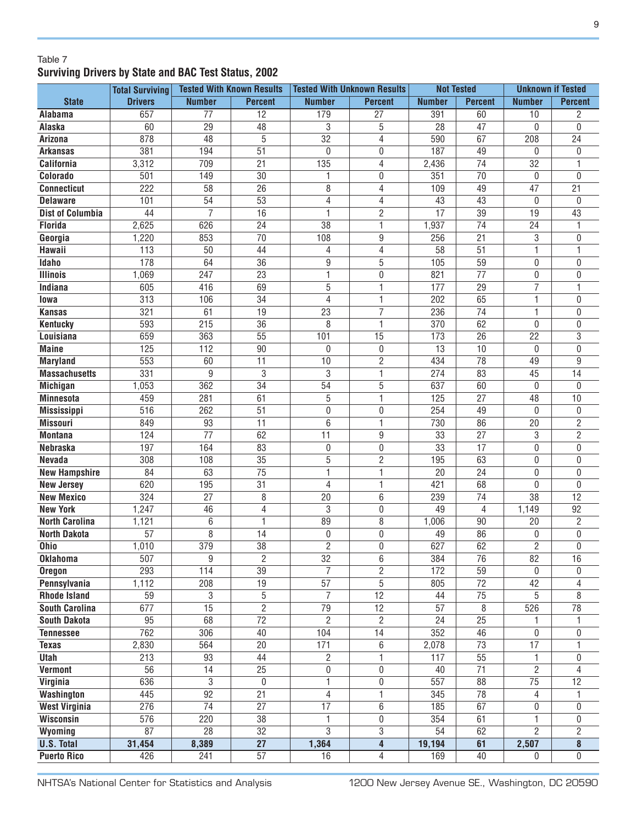#### Table 7 **Surviving Drivers by State and BAC Test Status, 2002**

|                              | <b>Total Surviving</b> |                 | <b>Tested With Known Results</b> |                  | <b>Tested With Unknown Results</b> | <b>Not Tested</b> |                 | <b>Unknown if Tested</b> |                 |
|------------------------------|------------------------|-----------------|----------------------------------|------------------|------------------------------------|-------------------|-----------------|--------------------------|-----------------|
| <b>State</b>                 | <b>Drivers</b>         | <b>Number</b>   | <b>Percent</b>                   | <b>Number</b>    | <b>Percent</b>                     | <b>Number</b>     | <b>Percent</b>  | <b>Number</b>            | <b>Percent</b>  |
| Alabama                      | 657                    | 77              | $\overline{12}$                  | 179              | 27                                 | 391               | 60              | 10                       | 2               |
| Alaska                       | 60                     | $\overline{29}$ | 48                               | 3                | 5                                  | 28                | 47              | 0                        | 0               |
| <b>Arizona</b>               | 878                    | $\overline{48}$ | $\overline{5}$                   | $\overline{32}$  | 4                                  | 590               | 67              | 208                      | 24              |
| <b>Arkansas</b>              | 381                    | 194             | $\overline{51}$                  | $\mathbf{0}$     | 0                                  | 187               | 49              | 0                        | 0               |
| California                   | 3,312                  | 709             | 21                               | $\overline{135}$ | 4                                  | 2,436             | 74              | 32                       | 1               |
| Colorado                     | 501                    | 149             | 30                               | 1                | $\mathbf 0$                        | 351               | $\overline{70}$ | $\boldsymbol{0}$         | 0               |
| <b>Connecticut</b>           | $\overline{222}$       | 58              | $\overline{26}$                  | 8                | 4                                  | 109               | 49              | $\overline{47}$          | 21              |
| <b>Delaware</b>              | 101                    | 54              | $\overline{53}$                  | $\sqrt{4}$       | 4                                  | 43                | 43              | $\boldsymbol{0}$         | 0               |
| <b>Dist of Columbia</b>      | 44                     | $\overline{7}$  | 16                               | $\mathbf{1}$     | $\overline{2}$                     | $\overline{17}$   | $\overline{39}$ | 19                       | 43              |
| <b>Florida</b>               | 2,625                  | 626             | 24                               | 38               | $\mathbf{1}$                       | 1,937             | 74              | 24                       |                 |
| Georgia                      | 1,220                  | 853             | $\overline{70}$                  | 108              | 9                                  | 256               | $\overline{21}$ | 3                        | 0               |
| Hawaii                       | 113                    | 50              | 44                               | $\overline{4}$   | 4                                  | 58                | $\overline{51}$ | 1                        |                 |
| Idaho                        | 178                    | 64              | 36                               | 9                | 5                                  | 105               | $\overline{59}$ | 0                        | 0               |
| <b>Illinois</b>              | 1,069                  | 247             | 23                               | 1                | $\mathbf 0$                        | 821               | 77              | 0                        | 0               |
| Indiana                      | 605                    | 416             | 69                               | 5                | 1                                  | 177               | 29              | $\overline{7}$           |                 |
| lowa                         | 313                    | 106             | 34                               | 4                | $\mathbf{1}$                       | 202               | 65              | 1                        | 0               |
| <b>Kansas</b>                | 321                    | 61              | 19                               | 23               | $\overline{7}$                     | 236               | 74              | 1                        | 0               |
| <b>Kentucky</b>              | 593                    | 215             | 36                               | 8                | $\mathbf{1}$                       | 370               | 62              | 0                        | 0               |
| Louisiana                    | 659                    | 363             | $\overline{55}$                  | 101              | 15                                 | 173               | $\overline{26}$ | $\overline{22}$          | $\overline{3}$  |
| <b>Maine</b>                 | 125                    | 112             | 90                               | 0                | 0                                  | 13                | 10              | 0                        | 0               |
| <b>Maryland</b>              | 553                    | 60              | 11                               | 10               | $\overline{2}$                     | 434               | 78              | 49                       | 9               |
| <b>Massachusetts</b>         | 331                    | 9               | 3                                | 3                | 1                                  | 274               | 83              | 45                       | 14              |
| <b>Michigan</b>              | 1,053                  | 362             | 34                               | 54               | 5                                  | 637               | 60              | 0                        | 0               |
| <b>Minnesota</b>             | 459                    | 281             | 61                               | 5                | 1                                  | 125               | 27              | 48                       | 10              |
| <b>Mississippi</b>           | 516                    | 262             | 51                               | $\boldsymbol{0}$ | $\mathbf 0$                        | 254               | 49              | 0                        | 0               |
| <b>Missouri</b>              | 849                    | 93              | 11                               | 6                | 1                                  | 730               | 86              | 20                       | $\overline{c}$  |
| <b>Montana</b>               | 124                    | 77              | 62                               | 11               | 9                                  | 33                | 27              | 3                        | $\overline{2}$  |
| <b>Nebraska</b>              | 197                    | 164             | 83                               | $\boldsymbol{0}$ | 0                                  | 33                | 17              | 0                        | 0               |
| Nevada                       | 308                    | 108             | $\overline{35}$                  | $\overline{5}$   | $\overline{2}$                     | 195               | 63              | 0                        | 0               |
| <b>New Hampshire</b>         | 84                     | 63              | $\overline{75}$                  | 1                | 1                                  | $\overline{20}$   | 24              | 0                        | 0               |
| <b>New Jersey</b>            | 620                    | 195             | 31                               | 4                | 1                                  | 421               | 68              | 0                        | 0               |
| <b>New Mexico</b>            | 324                    | 27              | 8                                | 20               | 6                                  | 239               | 74              | 38                       | $\overline{12}$ |
| <b>New York</b>              | 1,247                  | 46              | $\overline{4}$                   | 3                | $\mathbf 0$                        | 49                | 4               | 1,149                    | 92              |
| <b>North Carolina</b>        | 1,121                  | 6               | 1                                | 89               | 8                                  | 1,006             | 90              | 20                       | $\overline{2}$  |
| <b>North Dakota</b>          | 57                     | 8               | 14                               | $\boldsymbol{0}$ | $\pmb{0}$                          | 49                | 86              | 0                        | $\pmb{0}$       |
| Ohio                         | 1,010                  | 379             | $\overline{38}$                  | $\overline{2}$   | $\mathbf 0$                        | 627               | 62              | $\overline{2}$           | 0               |
| <b>Oklahoma</b>              | 507                    | 9               | $\overline{2}$                   | 32               | 6                                  | 384               | 76              | 82                       | 16              |
| <b>Oregon</b>                | 293                    | 114             | $\overline{39}$                  | $\overline{7}$   | $\overline{2}$                     | 172               | 59              | $\overline{0}$           | 0               |
| Pennsylvania                 | 1,112                  | 208             | 19                               | $\overline{57}$  | $\overline{5}$                     | 805               | $\overline{72}$ | 42                       | 4               |
| <b>Rhode Island</b>          | 59                     | 3               | 5                                | $\overline{7}$   | $\overline{12}$                    | 44                | $\overline{75}$ | 5                        | 8               |
| <b>South Carolina</b>        | 677                    | $\overline{15}$ | $\overline{2}$                   | $\overline{79}$  | $\overline{12}$                    | 57                | $\overline{8}$  | 526                      | 78              |
| <b>South Dakota</b>          | $\overline{95}$        | 68              | $\overline{72}$                  | $\overline{2}$   | $\overline{2}$                     | $\overline{24}$   | $\overline{25}$ | 1                        |                 |
| <b>Tennessee</b>             | 762                    | 306             | 40                               | 104              | 14                                 | 352               | 46              | 0                        | 0               |
| <b>Texas</b>                 | 2,830                  | 564             | $\overline{20}$                  | 171              | 6                                  | 2,078             | $\overline{73}$ | $\overline{17}$          |                 |
| Utah                         | 213                    | 93              | 44                               | $\overline{2}$   | 1                                  | 117               | $\overline{55}$ | 1                        | 0               |
| Vermont                      | 56                     | 14              | $\overline{25}$                  | $\mathbf 0$      | 0                                  | 40                | $\overline{71}$ | $\overline{2}$           | 4               |
| Virginia                     | 636                    | $\overline{3}$  | 0                                | $\mathbf{1}$     | $\mathbf 0$                        | $\overline{557}$  | 88              | $\overline{75}$          | $\overline{12}$ |
| Washington                   | 445                    | $\overline{92}$ | $\overline{21}$                  | 4                | $\mathbf{1}$                       | 345               | $\overline{78}$ | 4                        |                 |
| <b>West Virginia</b>         | 276                    | $\overline{74}$ | $\overline{27}$                  | 17               | 6                                  | 185               | 67              | 0                        | 0               |
| Wisconsin                    | 576                    | 220             | $\overline{38}$                  | 1                | 0                                  | 354               | 61              | 1                        | 0               |
|                              | 87                     | 28              | $\overline{32}$                  | 3                | 3                                  | 54                | 62              | $\overline{2}$           | $\overline{2}$  |
| Wyoming<br><b>U.S. Total</b> | 31,454                 | 8,389           | $\overline{27}$                  | 1,364            | $\overline{4}$                     | 19,194            | 61              | 2,507                    | 8               |
| <b>Puerto Rico</b>           | 426                    | 241             | $\overline{57}$                  | 16               | 4                                  | 169               | 40              | $\mathbf{0}$             | $\overline{0}$  |
|                              |                        |                 |                                  |                  |                                    |                   |                 |                          |                 |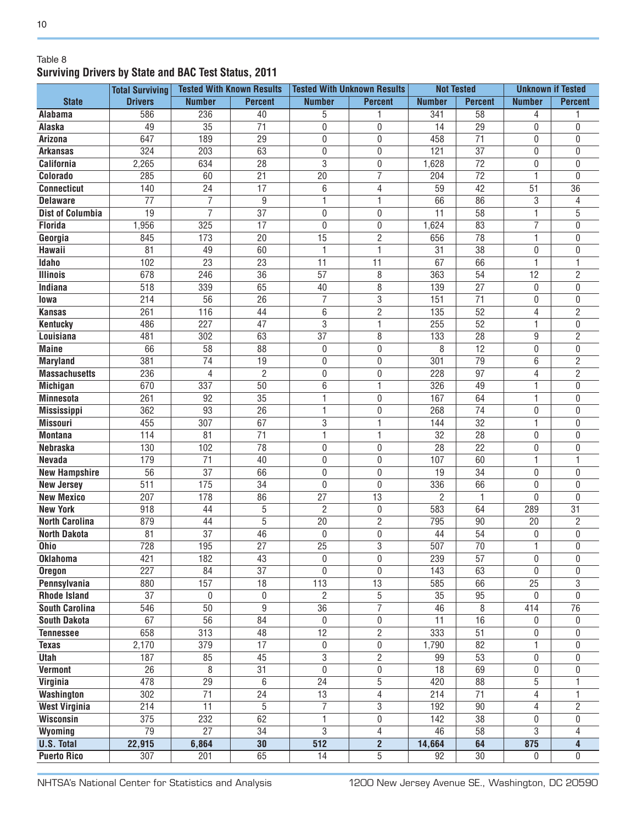#### Table 8 **Surviving Drivers by State and BAC Test Status, 2011**

|                                   | <b>Total Surviving</b> | <b>Tested With Known Results</b>  |                 |                                   | <b>Tested With Unknown Results</b> | <b>Not Tested</b>     |                       | <b>Unknown if Tested</b> |                 |
|-----------------------------------|------------------------|-----------------------------------|-----------------|-----------------------------------|------------------------------------|-----------------------|-----------------------|--------------------------|-----------------|
| <b>State</b>                      | <b>Drivers</b>         | <b>Number</b>                     | <b>Percent</b>  | <b>Number</b>                     | <b>Percent</b>                     | <b>Number</b>         | <b>Percent</b>        | <b>Number</b>            | <b>Percent</b>  |
| Alabama                           | 586                    | 236                               | 40              | 5                                 | 1                                  | 341                   | $\overline{58}$       | 4                        |                 |
| Alaska                            | 49                     | $\overline{35}$                   | $\overline{71}$ | $\boldsymbol{0}$                  | 0                                  | 14                    | $\overline{29}$       | 0                        | 0               |
| Arizona                           | 647                    | 189                               | $\overline{29}$ | $\boldsymbol{0}$                  | 0                                  | 458                   | $\overline{71}$       | 0                        | 0               |
| <b>Arkansas</b>                   | 324                    | 203                               | 63              | $\boldsymbol{0}$                  | 0                                  | 121                   | $\overline{37}$       | 0                        | 0               |
| <b>California</b>                 | 2,265                  | 634                               | 28              | 3                                 | $\boldsymbol{0}$                   | 1,628                 | $\overline{72}$       | 0                        | 0               |
| Colorado                          | 285                    | 60                                | $\overline{21}$ | 20                                | $\overline{7}$                     | 204                   | $\overline{72}$       | 1                        | $\overline{0}$  |
| <b>Connecticut</b>                | 140                    | 24                                | $\overline{17}$ | $6\,$                             | 4                                  | 59                    | $\overline{42}$       | 51                       | $\overline{36}$ |
| <b>Delaware</b>                   | 77                     | $\overline{7}$                    | 9               | $\mathbf{1}$                      | 1                                  | 66                    | 86                    | 3                        | 4               |
| <b>Dist of Columbia</b>           | $\overline{19}$        | $\overline{7}$                    | $\overline{37}$ | $\overline{0}$                    | 0                                  | $\overline{11}$       | $\overline{58}$       | $\overline{1}$           | 5               |
| <b>Florida</b>                    | 1,956                  | 325                               | $\overline{17}$ | $\mathbf 0$                       | $\boldsymbol{0}$                   | 1,624                 | 83                    | $\overline{7}$           | 0               |
| Georgia                           | 845                    | 173                               | $\overline{20}$ | $\overline{15}$                   | $\overline{2}$                     | 656                   | $\overline{78}$       | 1                        | 0               |
| Hawaii                            | 81                     | 49                                | 60              | 1                                 | 1                                  | 31                    | 38                    | 0                        | 0               |
| Idaho                             | 102                    | 23                                | 23              | $\overline{11}$                   | 11                                 | 67                    | 66                    | 1                        | 1               |
| <b>Illinois</b>                   | 678                    | 246                               | 36              | $\overline{57}$                   | 8                                  | 363                   | $\overline{54}$       | $\overline{12}$          | $\overline{2}$  |
| Indiana                           | 518                    | 339                               | 65              | 40                                | 8                                  | 139                   | 27                    | 0                        | 0               |
| lowa                              | 214                    | 56                                | 26              | $\overline{7}$                    | 3                                  | 151                   | $\overline{71}$       | 0                        | 0               |
| <b>Kansas</b>                     | 261                    | 116                               | 44              | 6                                 | $\overline{2}$                     | 135                   | 52                    | 4                        | $\overline{2}$  |
| <b>Kentucky</b>                   | 486                    | 227                               | 47              | 3                                 | 1                                  | 255                   | 52                    | 1                        | 0               |
| Louisiana                         | 481                    | 302                               | 63              | $\overline{37}$                   | 8                                  | 133                   | 28                    | 9                        | 2               |
| <b>Maine</b>                      | 66                     | 58                                | 88              | $\pmb{0}$                         | $\mathbf{0}$                       | 8                     | 12                    | $\boldsymbol{0}$         | 0               |
| <b>Maryland</b>                   | 381                    | 74                                | 19              | $\pmb{0}$                         | 0                                  | 301                   | 79                    | 6                        | 2               |
| <b>Massachusetts</b>              | 236                    | 4                                 | $\overline{2}$  | $\pmb{0}$                         | 0                                  | 228                   | 97                    | $\overline{4}$           | $\overline{2}$  |
| <b>Michigan</b>                   | 670                    | 337                               | 50              | 6                                 | 1                                  | 326                   | 49                    | 1                        | 0               |
| <b>Minnesota</b>                  | 261                    | 92                                | 35              | 1                                 | 0                                  | 167                   | 64                    | 1                        | 0               |
| <b>Mississippi</b>                | 362                    | 93                                | 26              | 1                                 | $\mathbf 0$                        | 268                   | 74                    | 0                        | 0               |
| <b>Missouri</b>                   | 455                    | 307                               | 67              | 3                                 | 1                                  | 144                   | 32                    | 1                        | 0               |
| <b>Montana</b>                    | 114                    | 81                                | $\overline{71}$ | $\overline{1}$                    | 1                                  | 32                    | 28                    | 0                        | 0               |
| <b>Nebraska</b>                   | 130                    | 102                               | 78              | $\pmb{0}$                         | 0                                  | 28                    | 22                    | 0                        | 0               |
| <b>Nevada</b>                     | 179                    | 71                                | 40              | $\boldsymbol{0}$                  | $\mathbf 0$                        | 107                   | 60                    | 1                        | 1               |
| <b>New Hampshire</b>              | 56                     | $\overline{37}$                   | 66              | $\overline{0}$                    | $\mathbf{0}$                       | 19                    | $\overline{34}$       | 0                        | 0               |
| <b>New Jersey</b>                 | 511                    | 175                               | $\overline{34}$ | $\overline{0}$                    | $\mathbf{0}$                       | 336                   | 66                    | 0                        | 0               |
| <b>New Mexico</b>                 | 207                    | 178                               | $\overline{86}$ | $\overline{27}$                   | 13                                 | 2                     | 1                     | 0                        | $\mathbf{0}$    |
| <b>New York</b>                   | 918                    | 44                                | $\overline{5}$  | $\overline{2}$                    | 0                                  | 583                   | 64                    | 289                      | $\overline{31}$ |
| <b>North Carolina</b>             | 879                    | 44                                | $\overline{5}$  | $\overline{20}$                   | $\overline{2}$                     | 795                   | 90                    | 20                       | $\overline{c}$  |
| <b>North Dakota</b>               | 81                     | 37                                | $\overline{46}$ | $\boldsymbol{0}$                  | $\mathbf 0$                        | 44                    | 54                    | 0                        | 0               |
| <b>Ohio</b>                       | 728                    | 195                               | $\overline{27}$ | $\overline{25}$                   | 3                                  | 507                   | $\overline{70}$       | 1                        | 0               |
| <b>Oklahoma</b>                   | 421                    | 182                               | 43              | $\pmb{0}$                         | 0                                  | 239                   | 57                    | 0                        | 0               |
| <b>Oregon</b>                     | 227                    | 84                                | $\overline{37}$ | $\overline{0}$                    | $\mathbf{0}$                       | 143                   | 63                    | $\mathbf{0}$             | 0               |
| Pennsylvania                      | 880                    | 157                               | $\overline{18}$ | 113                               | 13                                 | 585                   | 66                    | 25                       | 3               |
| <b>Rhode Island</b>               | 37                     | $\boldsymbol{0}$                  | $\pmb{0}$       | $\overline{2}$                    | 5                                  | 35                    | 95                    | 0                        | 0               |
| <b>South Carolina</b>             | 546                    | $\overline{50}$                   | $\overline{9}$  | $\overline{36}$                   | $\overline{7}$                     | 46                    | $\overline{8}$        | 414                      | 76              |
| <b>South Dakota</b>               | 67                     | $\overline{56}$                   | $\overline{84}$ | $\pmb{0}$                         | 0                                  | $\overline{11}$       | 16                    | 0                        | $\mathbf 0$     |
|                                   | 658                    | 313                               | 48              | $\overline{12}$                   | $\overline{2}$                     | 333                   | $\overline{51}$       |                          |                 |
| <b>Tennessee</b><br><b>Texas</b>  | 2,170                  | 379                               | $\overline{17}$ | $\pmb{0}$                         | 0                                  | 1,790                 | $\overline{82}$       | 0<br>$\overline{1}$      | 0<br>0          |
|                                   |                        |                                   |                 |                                   |                                    |                       |                       |                          |                 |
| <b>Utah</b>                       | 187<br>$\overline{26}$ | 85                                | 45              | $\overline{3}$                    | $\overline{2}$                     | 99<br>$\overline{18}$ | $\overline{53}$<br>69 | 0                        | 0               |
| <b>Vermont</b><br><b>Virginia</b> | 478                    | $\overline{8}$<br>$\overline{29}$ | $\overline{31}$ | 0<br>$\overline{24}$              | 0                                  |                       |                       | 0                        | 0               |
|                                   |                        |                                   | $6\,$           |                                   | 5                                  | 420                   | 88                    | 5                        |                 |
| Washington                        | $\overline{302}$       | $\overline{71}$                   | $\overline{24}$ | $\overline{13}$<br>$\overline{7}$ | 4                                  | 214                   | $\overline{71}$       | 4                        | 1               |
| <b>West Virginia</b>              | 214                    | $\overline{11}$                   | $\overline{5}$  |                                   | $\overline{3}$                     | 192                   | $\overline{90}$       | 4                        | $\overline{2}$  |
| <b>Wisconsin</b>                  | 375                    | 232                               | 62              | $\mathbf{1}$                      | $\overline{0}$                     | 142                   | $\overline{38}$       | 0                        | 0               |
| Wyoming                           | $\overline{79}$        | $\overline{27}$                   | 34              | 3                                 | 4                                  | 46                    | 58                    | 3                        | 4               |
| <b>U.S. Total</b>                 | 22,915                 | 6,864                             | $\overline{30}$ | 512                               | $\overline{2}$                     | 14,664                | 64                    | 875                      | 4               |
| <b>Puerto Rico</b>                | 307                    | 201                               | 65              | $\overline{14}$                   | $\overline{5}$                     | 92                    | $\overline{30}$       | 0                        | 0               |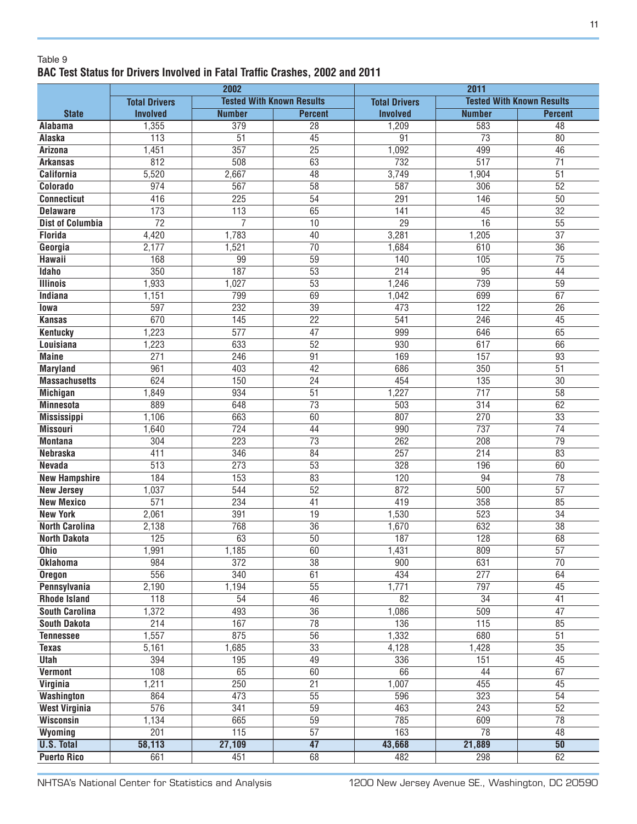#### Table 9 **BAC Test Status for Drivers Involved in Fatal Traffic Crashes, 2002 and 2011**

| <b>Tested With Known Results</b><br><b>Tested With Known Results</b><br><b>Total Drivers</b><br><b>Total Drivers</b><br><b>State</b><br><b>Number</b><br><b>Involved</b><br><b>Number</b><br><b>Involved</b><br><b>Percent</b><br><b>Percent</b><br>1,355<br>$\overline{379}$<br>$\overline{28}$<br>1,209<br>583<br>$\overline{48}$<br><b>Alabama</b><br>$\overline{51}$<br>$\overline{45}$<br>$\overline{73}$<br>113<br>91<br>80<br>Alaska<br>357<br>$\overline{25}$<br>1,451<br>1,092<br>499<br>46<br><b>Arizona</b><br>812<br>508<br>63<br>732<br>517<br>$\overline{71}$<br><b>Arkansas</b><br>5,520<br>$\overline{48}$<br>3,749<br>1,904<br>$\overline{51}$<br><b>California</b><br>2,667<br>$\overline{58}$<br>587<br>306<br>52<br>Colorado<br>974<br>567<br>$\overline{54}$<br><b>Connecticut</b><br>416<br>$\overline{225}$<br>291<br>146<br>$\overline{50}$<br>65<br>$\overline{32}$<br>173<br>113<br>45<br><b>Delaware</b><br>141<br>$\overline{55}$<br>$\overline{72}$<br>$\overline{7}$<br>10<br>$\overline{29}$<br>16<br><b>Dist of Columbia</b><br><b>Florida</b><br>4,420<br>1,783<br>40<br>3,281<br>1,205<br>37<br>$\overline{70}$<br>2,177<br>1,521<br>610<br>36<br>Georgia<br>1,684<br>$\overline{75}$<br><b>Hawaii</b><br>168<br>99<br>59<br>140<br>105<br>350<br>187<br>$\overline{53}$<br>$\overline{95}$<br>Idaho<br>214<br>44<br>$\overline{53}$<br>739<br>1,933<br>1,027<br>1,246<br>59<br><b>Illinois</b><br>69<br>699<br>67<br><b>Indiana</b><br>1,151<br>799<br>1,042<br>597<br>232<br>$\overline{39}$<br>122<br>473<br>$\overline{26}$<br>lowa<br>670<br>$\overline{22}$<br>$\overline{246}$<br>145<br>541<br>45<br><b>Kansas</b><br>1,223<br>$\overline{577}$<br>$\overline{47}$<br>646<br>999<br>65<br><b>Kentucky</b><br>52<br>617<br>1,223<br>633<br>930<br>66<br>Louisiana<br>271<br>$\overline{91}$<br><b>Maine</b><br>246<br>169<br>157<br>$\overline{93}$<br>961<br>403<br>42<br>686<br>350<br>51<br><b>Maryland</b><br><b>Massachusetts</b><br>624<br>150<br>24<br>454<br>135<br>30<br>934<br>51<br>1,227<br>717<br>58<br><b>Michigan</b><br>1,849<br>889<br>73<br>314<br>62<br><b>Minnesota</b><br>648<br>503<br>663<br>60<br>807<br>270<br>33<br><b>Mississippi</b><br>1,106<br>737<br><b>Missouri</b><br>724<br>990<br>$\overline{74}$<br>1,640<br>44<br>$\overline{73}$<br>$\overline{223}$<br>262<br>$\overline{79}$<br>304<br>208<br><b>Montana</b><br>411<br>346<br>84<br>257<br>$\overline{214}$<br>83<br><b>Nebraska</b><br>$\overline{273}$<br>$\overline{53}$<br>328<br>60<br><b>Nevada</b><br>$\overline{513}$<br>196<br>83<br>184<br>153<br>120<br>$\overline{78}$<br><b>New Hampshire</b><br>$\overline{94}$<br>$\overline{52}$<br>500<br>$\overline{57}$<br>1,037<br>544<br>872<br><b>New Jersey</b><br>$\overline{571}$<br>234<br>$\overline{41}$<br>358<br><b>New Mexico</b><br>419<br>85<br>2,061<br>391<br>$\overline{19}$<br>1,530<br>523<br>$\overline{34}$<br><b>New York</b><br>768<br>$\overline{36}$<br>632<br>$\overline{38}$<br><b>North Carolina</b><br>2,138<br>1,670<br>125<br>63<br>$\overline{50}$<br>187<br>128<br>68<br><b>North Dakota</b><br>1,991<br>1,185<br>$\overline{60}$<br>1,431<br>809<br>$\overline{57}$<br>Ohio<br>984<br>$\overline{372}$<br>$\overline{38}$<br>$\overline{900}$<br>631<br>$\overline{70}$<br><b>Oklahoma</b><br>556<br>340<br>61<br>434<br>277<br><b>Oregon</b><br>64<br>$\overline{55}$<br>1,771<br>797<br>Pennsylvania<br>2,190<br>1,194<br>45<br>46<br>82<br>$\overline{34}$<br><b>Rhode Island</b><br>118<br>54<br>41<br><b>South Carolina</b><br>493<br>36<br>1,086<br>509<br>47<br>1,372<br>214<br>167<br>115<br><b>South Dakota</b><br>78<br>136<br>85<br>1,557<br>56<br>680<br>51<br>875<br>1,332<br><b>Tennessee</b><br>$\overline{33}$<br>$\overline{35}$<br>4,128<br>1,428<br><b>Texas</b><br>5,161<br>1,685<br>151<br>394<br>49<br>336<br>45<br>Utah<br>195<br>108<br>65<br><b>Vermont</b><br>60<br>66<br>44<br>67<br>$\overline{250}$<br>$\overline{21}$<br>455<br>Virginia<br>1,211<br>1,007<br>45<br>473<br>$\overline{55}$<br>323<br>$\overline{54}$<br>864<br>596<br>Washington<br>$\overline{59}$<br>576<br>$\overline{341}$<br>$\overline{52}$<br><b>West Virginia</b><br>463<br>243<br>$\overline{59}$<br>665<br>$\overline{78}$<br>1,134<br>785<br>609<br>Wisconsin<br>$\overline{57}$<br>$\overline{201}$<br>115<br>$\overline{78}$<br>163<br>Wyoming<br>48<br>47<br>27,109<br>43,668<br>21,889<br>50<br><b>U.S. Total</b><br>58,113 |                    |     | 2002 |    | 2011 |     |    |  |  |  |
|----------------------------------------------------------------------------------------------------------------------------------------------------------------------------------------------------------------------------------------------------------------------------------------------------------------------------------------------------------------------------------------------------------------------------------------------------------------------------------------------------------------------------------------------------------------------------------------------------------------------------------------------------------------------------------------------------------------------------------------------------------------------------------------------------------------------------------------------------------------------------------------------------------------------------------------------------------------------------------------------------------------------------------------------------------------------------------------------------------------------------------------------------------------------------------------------------------------------------------------------------------------------------------------------------------------------------------------------------------------------------------------------------------------------------------------------------------------------------------------------------------------------------------------------------------------------------------------------------------------------------------------------------------------------------------------------------------------------------------------------------------------------------------------------------------------------------------------------------------------------------------------------------------------------------------------------------------------------------------------------------------------------------------------------------------------------------------------------------------------------------------------------------------------------------------------------------------------------------------------------------------------------------------------------------------------------------------------------------------------------------------------------------------------------------------------------------------------------------------------------------------------------------------------------------------------------------------------------------------------------------------------------------------------------------------------------------------------------------------------------------------------------------------------------------------------------------------------------------------------------------------------------------------------------------------------------------------------------------------------------------------------------------------------------------------------------------------------------------------------------------------------------------------------------------------------------------------------------------------------------------------------------------------------------------------------------------------------------------------------------------------------------------------------------------------------------------------------------------------------------------------------------------------------------------------------------------------------------------------------------------------------------------------------------------------------------------------------------------------------------------------------------------------------------------------------------------------------------------------------------------------------------------------------------------------------------------------------------------------------------------------------------------------------------------------------------------------------------------------------------------------------------------------------------------------------------------------------------------------------------------------------------------------------------------------------------------------------------------------------------------------------------------------------------------------------------------------------|--------------------|-----|------|----|------|-----|----|--|--|--|
|                                                                                                                                                                                                                                                                                                                                                                                                                                                                                                                                                                                                                                                                                                                                                                                                                                                                                                                                                                                                                                                                                                                                                                                                                                                                                                                                                                                                                                                                                                                                                                                                                                                                                                                                                                                                                                                                                                                                                                                                                                                                                                                                                                                                                                                                                                                                                                                                                                                                                                                                                                                                                                                                                                                                                                                                                                                                                                                                                                                                                                                                                                                                                                                                                                                                                                                                                                                                                                                                                                                                                                                                                                                                                                                                                                                                                                                                                                                                                                                                                                                                                                                                                                                                                                                                                                                                                                                                                                                                |                    |     |      |    |      |     |    |  |  |  |
|                                                                                                                                                                                                                                                                                                                                                                                                                                                                                                                                                                                                                                                                                                                                                                                                                                                                                                                                                                                                                                                                                                                                                                                                                                                                                                                                                                                                                                                                                                                                                                                                                                                                                                                                                                                                                                                                                                                                                                                                                                                                                                                                                                                                                                                                                                                                                                                                                                                                                                                                                                                                                                                                                                                                                                                                                                                                                                                                                                                                                                                                                                                                                                                                                                                                                                                                                                                                                                                                                                                                                                                                                                                                                                                                                                                                                                                                                                                                                                                                                                                                                                                                                                                                                                                                                                                                                                                                                                                                |                    |     |      |    |      |     |    |  |  |  |
|                                                                                                                                                                                                                                                                                                                                                                                                                                                                                                                                                                                                                                                                                                                                                                                                                                                                                                                                                                                                                                                                                                                                                                                                                                                                                                                                                                                                                                                                                                                                                                                                                                                                                                                                                                                                                                                                                                                                                                                                                                                                                                                                                                                                                                                                                                                                                                                                                                                                                                                                                                                                                                                                                                                                                                                                                                                                                                                                                                                                                                                                                                                                                                                                                                                                                                                                                                                                                                                                                                                                                                                                                                                                                                                                                                                                                                                                                                                                                                                                                                                                                                                                                                                                                                                                                                                                                                                                                                                                |                    |     |      |    |      |     |    |  |  |  |
|                                                                                                                                                                                                                                                                                                                                                                                                                                                                                                                                                                                                                                                                                                                                                                                                                                                                                                                                                                                                                                                                                                                                                                                                                                                                                                                                                                                                                                                                                                                                                                                                                                                                                                                                                                                                                                                                                                                                                                                                                                                                                                                                                                                                                                                                                                                                                                                                                                                                                                                                                                                                                                                                                                                                                                                                                                                                                                                                                                                                                                                                                                                                                                                                                                                                                                                                                                                                                                                                                                                                                                                                                                                                                                                                                                                                                                                                                                                                                                                                                                                                                                                                                                                                                                                                                                                                                                                                                                                                |                    |     |      |    |      |     |    |  |  |  |
|                                                                                                                                                                                                                                                                                                                                                                                                                                                                                                                                                                                                                                                                                                                                                                                                                                                                                                                                                                                                                                                                                                                                                                                                                                                                                                                                                                                                                                                                                                                                                                                                                                                                                                                                                                                                                                                                                                                                                                                                                                                                                                                                                                                                                                                                                                                                                                                                                                                                                                                                                                                                                                                                                                                                                                                                                                                                                                                                                                                                                                                                                                                                                                                                                                                                                                                                                                                                                                                                                                                                                                                                                                                                                                                                                                                                                                                                                                                                                                                                                                                                                                                                                                                                                                                                                                                                                                                                                                                                |                    |     |      |    |      |     |    |  |  |  |
|                                                                                                                                                                                                                                                                                                                                                                                                                                                                                                                                                                                                                                                                                                                                                                                                                                                                                                                                                                                                                                                                                                                                                                                                                                                                                                                                                                                                                                                                                                                                                                                                                                                                                                                                                                                                                                                                                                                                                                                                                                                                                                                                                                                                                                                                                                                                                                                                                                                                                                                                                                                                                                                                                                                                                                                                                                                                                                                                                                                                                                                                                                                                                                                                                                                                                                                                                                                                                                                                                                                                                                                                                                                                                                                                                                                                                                                                                                                                                                                                                                                                                                                                                                                                                                                                                                                                                                                                                                                                |                    |     |      |    |      |     |    |  |  |  |
|                                                                                                                                                                                                                                                                                                                                                                                                                                                                                                                                                                                                                                                                                                                                                                                                                                                                                                                                                                                                                                                                                                                                                                                                                                                                                                                                                                                                                                                                                                                                                                                                                                                                                                                                                                                                                                                                                                                                                                                                                                                                                                                                                                                                                                                                                                                                                                                                                                                                                                                                                                                                                                                                                                                                                                                                                                                                                                                                                                                                                                                                                                                                                                                                                                                                                                                                                                                                                                                                                                                                                                                                                                                                                                                                                                                                                                                                                                                                                                                                                                                                                                                                                                                                                                                                                                                                                                                                                                                                |                    |     |      |    |      |     |    |  |  |  |
|                                                                                                                                                                                                                                                                                                                                                                                                                                                                                                                                                                                                                                                                                                                                                                                                                                                                                                                                                                                                                                                                                                                                                                                                                                                                                                                                                                                                                                                                                                                                                                                                                                                                                                                                                                                                                                                                                                                                                                                                                                                                                                                                                                                                                                                                                                                                                                                                                                                                                                                                                                                                                                                                                                                                                                                                                                                                                                                                                                                                                                                                                                                                                                                                                                                                                                                                                                                                                                                                                                                                                                                                                                                                                                                                                                                                                                                                                                                                                                                                                                                                                                                                                                                                                                                                                                                                                                                                                                                                |                    |     |      |    |      |     |    |  |  |  |
|                                                                                                                                                                                                                                                                                                                                                                                                                                                                                                                                                                                                                                                                                                                                                                                                                                                                                                                                                                                                                                                                                                                                                                                                                                                                                                                                                                                                                                                                                                                                                                                                                                                                                                                                                                                                                                                                                                                                                                                                                                                                                                                                                                                                                                                                                                                                                                                                                                                                                                                                                                                                                                                                                                                                                                                                                                                                                                                                                                                                                                                                                                                                                                                                                                                                                                                                                                                                                                                                                                                                                                                                                                                                                                                                                                                                                                                                                                                                                                                                                                                                                                                                                                                                                                                                                                                                                                                                                                                                |                    |     |      |    |      |     |    |  |  |  |
|                                                                                                                                                                                                                                                                                                                                                                                                                                                                                                                                                                                                                                                                                                                                                                                                                                                                                                                                                                                                                                                                                                                                                                                                                                                                                                                                                                                                                                                                                                                                                                                                                                                                                                                                                                                                                                                                                                                                                                                                                                                                                                                                                                                                                                                                                                                                                                                                                                                                                                                                                                                                                                                                                                                                                                                                                                                                                                                                                                                                                                                                                                                                                                                                                                                                                                                                                                                                                                                                                                                                                                                                                                                                                                                                                                                                                                                                                                                                                                                                                                                                                                                                                                                                                                                                                                                                                                                                                                                                |                    |     |      |    |      |     |    |  |  |  |
|                                                                                                                                                                                                                                                                                                                                                                                                                                                                                                                                                                                                                                                                                                                                                                                                                                                                                                                                                                                                                                                                                                                                                                                                                                                                                                                                                                                                                                                                                                                                                                                                                                                                                                                                                                                                                                                                                                                                                                                                                                                                                                                                                                                                                                                                                                                                                                                                                                                                                                                                                                                                                                                                                                                                                                                                                                                                                                                                                                                                                                                                                                                                                                                                                                                                                                                                                                                                                                                                                                                                                                                                                                                                                                                                                                                                                                                                                                                                                                                                                                                                                                                                                                                                                                                                                                                                                                                                                                                                |                    |     |      |    |      |     |    |  |  |  |
|                                                                                                                                                                                                                                                                                                                                                                                                                                                                                                                                                                                                                                                                                                                                                                                                                                                                                                                                                                                                                                                                                                                                                                                                                                                                                                                                                                                                                                                                                                                                                                                                                                                                                                                                                                                                                                                                                                                                                                                                                                                                                                                                                                                                                                                                                                                                                                                                                                                                                                                                                                                                                                                                                                                                                                                                                                                                                                                                                                                                                                                                                                                                                                                                                                                                                                                                                                                                                                                                                                                                                                                                                                                                                                                                                                                                                                                                                                                                                                                                                                                                                                                                                                                                                                                                                                                                                                                                                                                                |                    |     |      |    |      |     |    |  |  |  |
|                                                                                                                                                                                                                                                                                                                                                                                                                                                                                                                                                                                                                                                                                                                                                                                                                                                                                                                                                                                                                                                                                                                                                                                                                                                                                                                                                                                                                                                                                                                                                                                                                                                                                                                                                                                                                                                                                                                                                                                                                                                                                                                                                                                                                                                                                                                                                                                                                                                                                                                                                                                                                                                                                                                                                                                                                                                                                                                                                                                                                                                                                                                                                                                                                                                                                                                                                                                                                                                                                                                                                                                                                                                                                                                                                                                                                                                                                                                                                                                                                                                                                                                                                                                                                                                                                                                                                                                                                                                                |                    |     |      |    |      |     |    |  |  |  |
|                                                                                                                                                                                                                                                                                                                                                                                                                                                                                                                                                                                                                                                                                                                                                                                                                                                                                                                                                                                                                                                                                                                                                                                                                                                                                                                                                                                                                                                                                                                                                                                                                                                                                                                                                                                                                                                                                                                                                                                                                                                                                                                                                                                                                                                                                                                                                                                                                                                                                                                                                                                                                                                                                                                                                                                                                                                                                                                                                                                                                                                                                                                                                                                                                                                                                                                                                                                                                                                                                                                                                                                                                                                                                                                                                                                                                                                                                                                                                                                                                                                                                                                                                                                                                                                                                                                                                                                                                                                                |                    |     |      |    |      |     |    |  |  |  |
|                                                                                                                                                                                                                                                                                                                                                                                                                                                                                                                                                                                                                                                                                                                                                                                                                                                                                                                                                                                                                                                                                                                                                                                                                                                                                                                                                                                                                                                                                                                                                                                                                                                                                                                                                                                                                                                                                                                                                                                                                                                                                                                                                                                                                                                                                                                                                                                                                                                                                                                                                                                                                                                                                                                                                                                                                                                                                                                                                                                                                                                                                                                                                                                                                                                                                                                                                                                                                                                                                                                                                                                                                                                                                                                                                                                                                                                                                                                                                                                                                                                                                                                                                                                                                                                                                                                                                                                                                                                                |                    |     |      |    |      |     |    |  |  |  |
|                                                                                                                                                                                                                                                                                                                                                                                                                                                                                                                                                                                                                                                                                                                                                                                                                                                                                                                                                                                                                                                                                                                                                                                                                                                                                                                                                                                                                                                                                                                                                                                                                                                                                                                                                                                                                                                                                                                                                                                                                                                                                                                                                                                                                                                                                                                                                                                                                                                                                                                                                                                                                                                                                                                                                                                                                                                                                                                                                                                                                                                                                                                                                                                                                                                                                                                                                                                                                                                                                                                                                                                                                                                                                                                                                                                                                                                                                                                                                                                                                                                                                                                                                                                                                                                                                                                                                                                                                                                                |                    |     |      |    |      |     |    |  |  |  |
|                                                                                                                                                                                                                                                                                                                                                                                                                                                                                                                                                                                                                                                                                                                                                                                                                                                                                                                                                                                                                                                                                                                                                                                                                                                                                                                                                                                                                                                                                                                                                                                                                                                                                                                                                                                                                                                                                                                                                                                                                                                                                                                                                                                                                                                                                                                                                                                                                                                                                                                                                                                                                                                                                                                                                                                                                                                                                                                                                                                                                                                                                                                                                                                                                                                                                                                                                                                                                                                                                                                                                                                                                                                                                                                                                                                                                                                                                                                                                                                                                                                                                                                                                                                                                                                                                                                                                                                                                                                                |                    |     |      |    |      |     |    |  |  |  |
|                                                                                                                                                                                                                                                                                                                                                                                                                                                                                                                                                                                                                                                                                                                                                                                                                                                                                                                                                                                                                                                                                                                                                                                                                                                                                                                                                                                                                                                                                                                                                                                                                                                                                                                                                                                                                                                                                                                                                                                                                                                                                                                                                                                                                                                                                                                                                                                                                                                                                                                                                                                                                                                                                                                                                                                                                                                                                                                                                                                                                                                                                                                                                                                                                                                                                                                                                                                                                                                                                                                                                                                                                                                                                                                                                                                                                                                                                                                                                                                                                                                                                                                                                                                                                                                                                                                                                                                                                                                                |                    |     |      |    |      |     |    |  |  |  |
|                                                                                                                                                                                                                                                                                                                                                                                                                                                                                                                                                                                                                                                                                                                                                                                                                                                                                                                                                                                                                                                                                                                                                                                                                                                                                                                                                                                                                                                                                                                                                                                                                                                                                                                                                                                                                                                                                                                                                                                                                                                                                                                                                                                                                                                                                                                                                                                                                                                                                                                                                                                                                                                                                                                                                                                                                                                                                                                                                                                                                                                                                                                                                                                                                                                                                                                                                                                                                                                                                                                                                                                                                                                                                                                                                                                                                                                                                                                                                                                                                                                                                                                                                                                                                                                                                                                                                                                                                                                                |                    |     |      |    |      |     |    |  |  |  |
|                                                                                                                                                                                                                                                                                                                                                                                                                                                                                                                                                                                                                                                                                                                                                                                                                                                                                                                                                                                                                                                                                                                                                                                                                                                                                                                                                                                                                                                                                                                                                                                                                                                                                                                                                                                                                                                                                                                                                                                                                                                                                                                                                                                                                                                                                                                                                                                                                                                                                                                                                                                                                                                                                                                                                                                                                                                                                                                                                                                                                                                                                                                                                                                                                                                                                                                                                                                                                                                                                                                                                                                                                                                                                                                                                                                                                                                                                                                                                                                                                                                                                                                                                                                                                                                                                                                                                                                                                                                                |                    |     |      |    |      |     |    |  |  |  |
|                                                                                                                                                                                                                                                                                                                                                                                                                                                                                                                                                                                                                                                                                                                                                                                                                                                                                                                                                                                                                                                                                                                                                                                                                                                                                                                                                                                                                                                                                                                                                                                                                                                                                                                                                                                                                                                                                                                                                                                                                                                                                                                                                                                                                                                                                                                                                                                                                                                                                                                                                                                                                                                                                                                                                                                                                                                                                                                                                                                                                                                                                                                                                                                                                                                                                                                                                                                                                                                                                                                                                                                                                                                                                                                                                                                                                                                                                                                                                                                                                                                                                                                                                                                                                                                                                                                                                                                                                                                                |                    |     |      |    |      |     |    |  |  |  |
|                                                                                                                                                                                                                                                                                                                                                                                                                                                                                                                                                                                                                                                                                                                                                                                                                                                                                                                                                                                                                                                                                                                                                                                                                                                                                                                                                                                                                                                                                                                                                                                                                                                                                                                                                                                                                                                                                                                                                                                                                                                                                                                                                                                                                                                                                                                                                                                                                                                                                                                                                                                                                                                                                                                                                                                                                                                                                                                                                                                                                                                                                                                                                                                                                                                                                                                                                                                                                                                                                                                                                                                                                                                                                                                                                                                                                                                                                                                                                                                                                                                                                                                                                                                                                                                                                                                                                                                                                                                                |                    |     |      |    |      |     |    |  |  |  |
|                                                                                                                                                                                                                                                                                                                                                                                                                                                                                                                                                                                                                                                                                                                                                                                                                                                                                                                                                                                                                                                                                                                                                                                                                                                                                                                                                                                                                                                                                                                                                                                                                                                                                                                                                                                                                                                                                                                                                                                                                                                                                                                                                                                                                                                                                                                                                                                                                                                                                                                                                                                                                                                                                                                                                                                                                                                                                                                                                                                                                                                                                                                                                                                                                                                                                                                                                                                                                                                                                                                                                                                                                                                                                                                                                                                                                                                                                                                                                                                                                                                                                                                                                                                                                                                                                                                                                                                                                                                                |                    |     |      |    |      |     |    |  |  |  |
|                                                                                                                                                                                                                                                                                                                                                                                                                                                                                                                                                                                                                                                                                                                                                                                                                                                                                                                                                                                                                                                                                                                                                                                                                                                                                                                                                                                                                                                                                                                                                                                                                                                                                                                                                                                                                                                                                                                                                                                                                                                                                                                                                                                                                                                                                                                                                                                                                                                                                                                                                                                                                                                                                                                                                                                                                                                                                                                                                                                                                                                                                                                                                                                                                                                                                                                                                                                                                                                                                                                                                                                                                                                                                                                                                                                                                                                                                                                                                                                                                                                                                                                                                                                                                                                                                                                                                                                                                                                                |                    |     |      |    |      |     |    |  |  |  |
|                                                                                                                                                                                                                                                                                                                                                                                                                                                                                                                                                                                                                                                                                                                                                                                                                                                                                                                                                                                                                                                                                                                                                                                                                                                                                                                                                                                                                                                                                                                                                                                                                                                                                                                                                                                                                                                                                                                                                                                                                                                                                                                                                                                                                                                                                                                                                                                                                                                                                                                                                                                                                                                                                                                                                                                                                                                                                                                                                                                                                                                                                                                                                                                                                                                                                                                                                                                                                                                                                                                                                                                                                                                                                                                                                                                                                                                                                                                                                                                                                                                                                                                                                                                                                                                                                                                                                                                                                                                                |                    |     |      |    |      |     |    |  |  |  |
|                                                                                                                                                                                                                                                                                                                                                                                                                                                                                                                                                                                                                                                                                                                                                                                                                                                                                                                                                                                                                                                                                                                                                                                                                                                                                                                                                                                                                                                                                                                                                                                                                                                                                                                                                                                                                                                                                                                                                                                                                                                                                                                                                                                                                                                                                                                                                                                                                                                                                                                                                                                                                                                                                                                                                                                                                                                                                                                                                                                                                                                                                                                                                                                                                                                                                                                                                                                                                                                                                                                                                                                                                                                                                                                                                                                                                                                                                                                                                                                                                                                                                                                                                                                                                                                                                                                                                                                                                                                                |                    |     |      |    |      |     |    |  |  |  |
|                                                                                                                                                                                                                                                                                                                                                                                                                                                                                                                                                                                                                                                                                                                                                                                                                                                                                                                                                                                                                                                                                                                                                                                                                                                                                                                                                                                                                                                                                                                                                                                                                                                                                                                                                                                                                                                                                                                                                                                                                                                                                                                                                                                                                                                                                                                                                                                                                                                                                                                                                                                                                                                                                                                                                                                                                                                                                                                                                                                                                                                                                                                                                                                                                                                                                                                                                                                                                                                                                                                                                                                                                                                                                                                                                                                                                                                                                                                                                                                                                                                                                                                                                                                                                                                                                                                                                                                                                                                                |                    |     |      |    |      |     |    |  |  |  |
|                                                                                                                                                                                                                                                                                                                                                                                                                                                                                                                                                                                                                                                                                                                                                                                                                                                                                                                                                                                                                                                                                                                                                                                                                                                                                                                                                                                                                                                                                                                                                                                                                                                                                                                                                                                                                                                                                                                                                                                                                                                                                                                                                                                                                                                                                                                                                                                                                                                                                                                                                                                                                                                                                                                                                                                                                                                                                                                                                                                                                                                                                                                                                                                                                                                                                                                                                                                                                                                                                                                                                                                                                                                                                                                                                                                                                                                                                                                                                                                                                                                                                                                                                                                                                                                                                                                                                                                                                                                                |                    |     |      |    |      |     |    |  |  |  |
|                                                                                                                                                                                                                                                                                                                                                                                                                                                                                                                                                                                                                                                                                                                                                                                                                                                                                                                                                                                                                                                                                                                                                                                                                                                                                                                                                                                                                                                                                                                                                                                                                                                                                                                                                                                                                                                                                                                                                                                                                                                                                                                                                                                                                                                                                                                                                                                                                                                                                                                                                                                                                                                                                                                                                                                                                                                                                                                                                                                                                                                                                                                                                                                                                                                                                                                                                                                                                                                                                                                                                                                                                                                                                                                                                                                                                                                                                                                                                                                                                                                                                                                                                                                                                                                                                                                                                                                                                                                                |                    |     |      |    |      |     |    |  |  |  |
|                                                                                                                                                                                                                                                                                                                                                                                                                                                                                                                                                                                                                                                                                                                                                                                                                                                                                                                                                                                                                                                                                                                                                                                                                                                                                                                                                                                                                                                                                                                                                                                                                                                                                                                                                                                                                                                                                                                                                                                                                                                                                                                                                                                                                                                                                                                                                                                                                                                                                                                                                                                                                                                                                                                                                                                                                                                                                                                                                                                                                                                                                                                                                                                                                                                                                                                                                                                                                                                                                                                                                                                                                                                                                                                                                                                                                                                                                                                                                                                                                                                                                                                                                                                                                                                                                                                                                                                                                                                                |                    |     |      |    |      |     |    |  |  |  |
|                                                                                                                                                                                                                                                                                                                                                                                                                                                                                                                                                                                                                                                                                                                                                                                                                                                                                                                                                                                                                                                                                                                                                                                                                                                                                                                                                                                                                                                                                                                                                                                                                                                                                                                                                                                                                                                                                                                                                                                                                                                                                                                                                                                                                                                                                                                                                                                                                                                                                                                                                                                                                                                                                                                                                                                                                                                                                                                                                                                                                                                                                                                                                                                                                                                                                                                                                                                                                                                                                                                                                                                                                                                                                                                                                                                                                                                                                                                                                                                                                                                                                                                                                                                                                                                                                                                                                                                                                                                                |                    |     |      |    |      |     |    |  |  |  |
|                                                                                                                                                                                                                                                                                                                                                                                                                                                                                                                                                                                                                                                                                                                                                                                                                                                                                                                                                                                                                                                                                                                                                                                                                                                                                                                                                                                                                                                                                                                                                                                                                                                                                                                                                                                                                                                                                                                                                                                                                                                                                                                                                                                                                                                                                                                                                                                                                                                                                                                                                                                                                                                                                                                                                                                                                                                                                                                                                                                                                                                                                                                                                                                                                                                                                                                                                                                                                                                                                                                                                                                                                                                                                                                                                                                                                                                                                                                                                                                                                                                                                                                                                                                                                                                                                                                                                                                                                                                                |                    |     |      |    |      |     |    |  |  |  |
|                                                                                                                                                                                                                                                                                                                                                                                                                                                                                                                                                                                                                                                                                                                                                                                                                                                                                                                                                                                                                                                                                                                                                                                                                                                                                                                                                                                                                                                                                                                                                                                                                                                                                                                                                                                                                                                                                                                                                                                                                                                                                                                                                                                                                                                                                                                                                                                                                                                                                                                                                                                                                                                                                                                                                                                                                                                                                                                                                                                                                                                                                                                                                                                                                                                                                                                                                                                                                                                                                                                                                                                                                                                                                                                                                                                                                                                                                                                                                                                                                                                                                                                                                                                                                                                                                                                                                                                                                                                                |                    |     |      |    |      |     |    |  |  |  |
|                                                                                                                                                                                                                                                                                                                                                                                                                                                                                                                                                                                                                                                                                                                                                                                                                                                                                                                                                                                                                                                                                                                                                                                                                                                                                                                                                                                                                                                                                                                                                                                                                                                                                                                                                                                                                                                                                                                                                                                                                                                                                                                                                                                                                                                                                                                                                                                                                                                                                                                                                                                                                                                                                                                                                                                                                                                                                                                                                                                                                                                                                                                                                                                                                                                                                                                                                                                                                                                                                                                                                                                                                                                                                                                                                                                                                                                                                                                                                                                                                                                                                                                                                                                                                                                                                                                                                                                                                                                                |                    |     |      |    |      |     |    |  |  |  |
|                                                                                                                                                                                                                                                                                                                                                                                                                                                                                                                                                                                                                                                                                                                                                                                                                                                                                                                                                                                                                                                                                                                                                                                                                                                                                                                                                                                                                                                                                                                                                                                                                                                                                                                                                                                                                                                                                                                                                                                                                                                                                                                                                                                                                                                                                                                                                                                                                                                                                                                                                                                                                                                                                                                                                                                                                                                                                                                                                                                                                                                                                                                                                                                                                                                                                                                                                                                                                                                                                                                                                                                                                                                                                                                                                                                                                                                                                                                                                                                                                                                                                                                                                                                                                                                                                                                                                                                                                                                                |                    |     |      |    |      |     |    |  |  |  |
|                                                                                                                                                                                                                                                                                                                                                                                                                                                                                                                                                                                                                                                                                                                                                                                                                                                                                                                                                                                                                                                                                                                                                                                                                                                                                                                                                                                                                                                                                                                                                                                                                                                                                                                                                                                                                                                                                                                                                                                                                                                                                                                                                                                                                                                                                                                                                                                                                                                                                                                                                                                                                                                                                                                                                                                                                                                                                                                                                                                                                                                                                                                                                                                                                                                                                                                                                                                                                                                                                                                                                                                                                                                                                                                                                                                                                                                                                                                                                                                                                                                                                                                                                                                                                                                                                                                                                                                                                                                                |                    |     |      |    |      |     |    |  |  |  |
|                                                                                                                                                                                                                                                                                                                                                                                                                                                                                                                                                                                                                                                                                                                                                                                                                                                                                                                                                                                                                                                                                                                                                                                                                                                                                                                                                                                                                                                                                                                                                                                                                                                                                                                                                                                                                                                                                                                                                                                                                                                                                                                                                                                                                                                                                                                                                                                                                                                                                                                                                                                                                                                                                                                                                                                                                                                                                                                                                                                                                                                                                                                                                                                                                                                                                                                                                                                                                                                                                                                                                                                                                                                                                                                                                                                                                                                                                                                                                                                                                                                                                                                                                                                                                                                                                                                                                                                                                                                                |                    |     |      |    |      |     |    |  |  |  |
|                                                                                                                                                                                                                                                                                                                                                                                                                                                                                                                                                                                                                                                                                                                                                                                                                                                                                                                                                                                                                                                                                                                                                                                                                                                                                                                                                                                                                                                                                                                                                                                                                                                                                                                                                                                                                                                                                                                                                                                                                                                                                                                                                                                                                                                                                                                                                                                                                                                                                                                                                                                                                                                                                                                                                                                                                                                                                                                                                                                                                                                                                                                                                                                                                                                                                                                                                                                                                                                                                                                                                                                                                                                                                                                                                                                                                                                                                                                                                                                                                                                                                                                                                                                                                                                                                                                                                                                                                                                                |                    |     |      |    |      |     |    |  |  |  |
|                                                                                                                                                                                                                                                                                                                                                                                                                                                                                                                                                                                                                                                                                                                                                                                                                                                                                                                                                                                                                                                                                                                                                                                                                                                                                                                                                                                                                                                                                                                                                                                                                                                                                                                                                                                                                                                                                                                                                                                                                                                                                                                                                                                                                                                                                                                                                                                                                                                                                                                                                                                                                                                                                                                                                                                                                                                                                                                                                                                                                                                                                                                                                                                                                                                                                                                                                                                                                                                                                                                                                                                                                                                                                                                                                                                                                                                                                                                                                                                                                                                                                                                                                                                                                                                                                                                                                                                                                                                                |                    |     |      |    |      |     |    |  |  |  |
|                                                                                                                                                                                                                                                                                                                                                                                                                                                                                                                                                                                                                                                                                                                                                                                                                                                                                                                                                                                                                                                                                                                                                                                                                                                                                                                                                                                                                                                                                                                                                                                                                                                                                                                                                                                                                                                                                                                                                                                                                                                                                                                                                                                                                                                                                                                                                                                                                                                                                                                                                                                                                                                                                                                                                                                                                                                                                                                                                                                                                                                                                                                                                                                                                                                                                                                                                                                                                                                                                                                                                                                                                                                                                                                                                                                                                                                                                                                                                                                                                                                                                                                                                                                                                                                                                                                                                                                                                                                                |                    |     |      |    |      |     |    |  |  |  |
|                                                                                                                                                                                                                                                                                                                                                                                                                                                                                                                                                                                                                                                                                                                                                                                                                                                                                                                                                                                                                                                                                                                                                                                                                                                                                                                                                                                                                                                                                                                                                                                                                                                                                                                                                                                                                                                                                                                                                                                                                                                                                                                                                                                                                                                                                                                                                                                                                                                                                                                                                                                                                                                                                                                                                                                                                                                                                                                                                                                                                                                                                                                                                                                                                                                                                                                                                                                                                                                                                                                                                                                                                                                                                                                                                                                                                                                                                                                                                                                                                                                                                                                                                                                                                                                                                                                                                                                                                                                                |                    |     |      |    |      |     |    |  |  |  |
|                                                                                                                                                                                                                                                                                                                                                                                                                                                                                                                                                                                                                                                                                                                                                                                                                                                                                                                                                                                                                                                                                                                                                                                                                                                                                                                                                                                                                                                                                                                                                                                                                                                                                                                                                                                                                                                                                                                                                                                                                                                                                                                                                                                                                                                                                                                                                                                                                                                                                                                                                                                                                                                                                                                                                                                                                                                                                                                                                                                                                                                                                                                                                                                                                                                                                                                                                                                                                                                                                                                                                                                                                                                                                                                                                                                                                                                                                                                                                                                                                                                                                                                                                                                                                                                                                                                                                                                                                                                                |                    |     |      |    |      |     |    |  |  |  |
|                                                                                                                                                                                                                                                                                                                                                                                                                                                                                                                                                                                                                                                                                                                                                                                                                                                                                                                                                                                                                                                                                                                                                                                                                                                                                                                                                                                                                                                                                                                                                                                                                                                                                                                                                                                                                                                                                                                                                                                                                                                                                                                                                                                                                                                                                                                                                                                                                                                                                                                                                                                                                                                                                                                                                                                                                                                                                                                                                                                                                                                                                                                                                                                                                                                                                                                                                                                                                                                                                                                                                                                                                                                                                                                                                                                                                                                                                                                                                                                                                                                                                                                                                                                                                                                                                                                                                                                                                                                                |                    |     |      |    |      |     |    |  |  |  |
|                                                                                                                                                                                                                                                                                                                                                                                                                                                                                                                                                                                                                                                                                                                                                                                                                                                                                                                                                                                                                                                                                                                                                                                                                                                                                                                                                                                                                                                                                                                                                                                                                                                                                                                                                                                                                                                                                                                                                                                                                                                                                                                                                                                                                                                                                                                                                                                                                                                                                                                                                                                                                                                                                                                                                                                                                                                                                                                                                                                                                                                                                                                                                                                                                                                                                                                                                                                                                                                                                                                                                                                                                                                                                                                                                                                                                                                                                                                                                                                                                                                                                                                                                                                                                                                                                                                                                                                                                                                                |                    |     |      |    |      |     |    |  |  |  |
|                                                                                                                                                                                                                                                                                                                                                                                                                                                                                                                                                                                                                                                                                                                                                                                                                                                                                                                                                                                                                                                                                                                                                                                                                                                                                                                                                                                                                                                                                                                                                                                                                                                                                                                                                                                                                                                                                                                                                                                                                                                                                                                                                                                                                                                                                                                                                                                                                                                                                                                                                                                                                                                                                                                                                                                                                                                                                                                                                                                                                                                                                                                                                                                                                                                                                                                                                                                                                                                                                                                                                                                                                                                                                                                                                                                                                                                                                                                                                                                                                                                                                                                                                                                                                                                                                                                                                                                                                                                                |                    |     |      |    |      |     |    |  |  |  |
|                                                                                                                                                                                                                                                                                                                                                                                                                                                                                                                                                                                                                                                                                                                                                                                                                                                                                                                                                                                                                                                                                                                                                                                                                                                                                                                                                                                                                                                                                                                                                                                                                                                                                                                                                                                                                                                                                                                                                                                                                                                                                                                                                                                                                                                                                                                                                                                                                                                                                                                                                                                                                                                                                                                                                                                                                                                                                                                                                                                                                                                                                                                                                                                                                                                                                                                                                                                                                                                                                                                                                                                                                                                                                                                                                                                                                                                                                                                                                                                                                                                                                                                                                                                                                                                                                                                                                                                                                                                                |                    |     |      |    |      |     |    |  |  |  |
|                                                                                                                                                                                                                                                                                                                                                                                                                                                                                                                                                                                                                                                                                                                                                                                                                                                                                                                                                                                                                                                                                                                                                                                                                                                                                                                                                                                                                                                                                                                                                                                                                                                                                                                                                                                                                                                                                                                                                                                                                                                                                                                                                                                                                                                                                                                                                                                                                                                                                                                                                                                                                                                                                                                                                                                                                                                                                                                                                                                                                                                                                                                                                                                                                                                                                                                                                                                                                                                                                                                                                                                                                                                                                                                                                                                                                                                                                                                                                                                                                                                                                                                                                                                                                                                                                                                                                                                                                                                                |                    |     |      |    |      |     |    |  |  |  |
|                                                                                                                                                                                                                                                                                                                                                                                                                                                                                                                                                                                                                                                                                                                                                                                                                                                                                                                                                                                                                                                                                                                                                                                                                                                                                                                                                                                                                                                                                                                                                                                                                                                                                                                                                                                                                                                                                                                                                                                                                                                                                                                                                                                                                                                                                                                                                                                                                                                                                                                                                                                                                                                                                                                                                                                                                                                                                                                                                                                                                                                                                                                                                                                                                                                                                                                                                                                                                                                                                                                                                                                                                                                                                                                                                                                                                                                                                                                                                                                                                                                                                                                                                                                                                                                                                                                                                                                                                                                                |                    |     |      |    |      |     |    |  |  |  |
|                                                                                                                                                                                                                                                                                                                                                                                                                                                                                                                                                                                                                                                                                                                                                                                                                                                                                                                                                                                                                                                                                                                                                                                                                                                                                                                                                                                                                                                                                                                                                                                                                                                                                                                                                                                                                                                                                                                                                                                                                                                                                                                                                                                                                                                                                                                                                                                                                                                                                                                                                                                                                                                                                                                                                                                                                                                                                                                                                                                                                                                                                                                                                                                                                                                                                                                                                                                                                                                                                                                                                                                                                                                                                                                                                                                                                                                                                                                                                                                                                                                                                                                                                                                                                                                                                                                                                                                                                                                                |                    |     |      |    |      |     |    |  |  |  |
|                                                                                                                                                                                                                                                                                                                                                                                                                                                                                                                                                                                                                                                                                                                                                                                                                                                                                                                                                                                                                                                                                                                                                                                                                                                                                                                                                                                                                                                                                                                                                                                                                                                                                                                                                                                                                                                                                                                                                                                                                                                                                                                                                                                                                                                                                                                                                                                                                                                                                                                                                                                                                                                                                                                                                                                                                                                                                                                                                                                                                                                                                                                                                                                                                                                                                                                                                                                                                                                                                                                                                                                                                                                                                                                                                                                                                                                                                                                                                                                                                                                                                                                                                                                                                                                                                                                                                                                                                                                                |                    |     |      |    |      |     |    |  |  |  |
|                                                                                                                                                                                                                                                                                                                                                                                                                                                                                                                                                                                                                                                                                                                                                                                                                                                                                                                                                                                                                                                                                                                                                                                                                                                                                                                                                                                                                                                                                                                                                                                                                                                                                                                                                                                                                                                                                                                                                                                                                                                                                                                                                                                                                                                                                                                                                                                                                                                                                                                                                                                                                                                                                                                                                                                                                                                                                                                                                                                                                                                                                                                                                                                                                                                                                                                                                                                                                                                                                                                                                                                                                                                                                                                                                                                                                                                                                                                                                                                                                                                                                                                                                                                                                                                                                                                                                                                                                                                                |                    |     |      |    |      |     |    |  |  |  |
|                                                                                                                                                                                                                                                                                                                                                                                                                                                                                                                                                                                                                                                                                                                                                                                                                                                                                                                                                                                                                                                                                                                                                                                                                                                                                                                                                                                                                                                                                                                                                                                                                                                                                                                                                                                                                                                                                                                                                                                                                                                                                                                                                                                                                                                                                                                                                                                                                                                                                                                                                                                                                                                                                                                                                                                                                                                                                                                                                                                                                                                                                                                                                                                                                                                                                                                                                                                                                                                                                                                                                                                                                                                                                                                                                                                                                                                                                                                                                                                                                                                                                                                                                                                                                                                                                                                                                                                                                                                                |                    |     |      |    |      |     |    |  |  |  |
|                                                                                                                                                                                                                                                                                                                                                                                                                                                                                                                                                                                                                                                                                                                                                                                                                                                                                                                                                                                                                                                                                                                                                                                                                                                                                                                                                                                                                                                                                                                                                                                                                                                                                                                                                                                                                                                                                                                                                                                                                                                                                                                                                                                                                                                                                                                                                                                                                                                                                                                                                                                                                                                                                                                                                                                                                                                                                                                                                                                                                                                                                                                                                                                                                                                                                                                                                                                                                                                                                                                                                                                                                                                                                                                                                                                                                                                                                                                                                                                                                                                                                                                                                                                                                                                                                                                                                                                                                                                                |                    |     |      |    |      |     |    |  |  |  |
|                                                                                                                                                                                                                                                                                                                                                                                                                                                                                                                                                                                                                                                                                                                                                                                                                                                                                                                                                                                                                                                                                                                                                                                                                                                                                                                                                                                                                                                                                                                                                                                                                                                                                                                                                                                                                                                                                                                                                                                                                                                                                                                                                                                                                                                                                                                                                                                                                                                                                                                                                                                                                                                                                                                                                                                                                                                                                                                                                                                                                                                                                                                                                                                                                                                                                                                                                                                                                                                                                                                                                                                                                                                                                                                                                                                                                                                                                                                                                                                                                                                                                                                                                                                                                                                                                                                                                                                                                                                                |                    |     |      |    |      |     |    |  |  |  |
|                                                                                                                                                                                                                                                                                                                                                                                                                                                                                                                                                                                                                                                                                                                                                                                                                                                                                                                                                                                                                                                                                                                                                                                                                                                                                                                                                                                                                                                                                                                                                                                                                                                                                                                                                                                                                                                                                                                                                                                                                                                                                                                                                                                                                                                                                                                                                                                                                                                                                                                                                                                                                                                                                                                                                                                                                                                                                                                                                                                                                                                                                                                                                                                                                                                                                                                                                                                                                                                                                                                                                                                                                                                                                                                                                                                                                                                                                                                                                                                                                                                                                                                                                                                                                                                                                                                                                                                                                                                                | <b>Puerto Rico</b> | 661 | 451  | 68 | 482  | 298 | 62 |  |  |  |